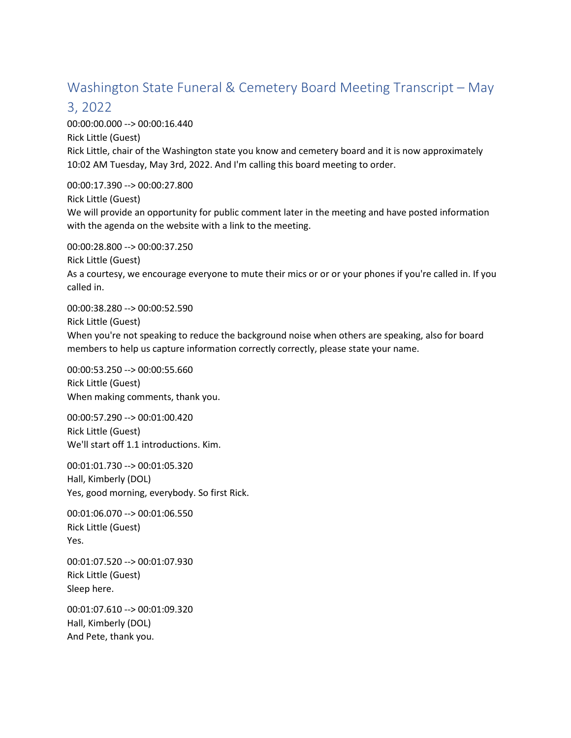# Washington State Funeral & Cemetery Board Meeting Transcript – May

### 3, 2022

00:00:00.000 --> 00:00:16.440 Rick Little (Guest) Rick Little, chair of the Washington state you know and cemetery board and it is now approximately 10:02 AM Tuesday, May 3rd, 2022. And I'm calling this board meeting to order.

00:00:17.390 --> 00:00:27.800 Rick Little (Guest) We will provide an opportunity for public comment later in the meeting and have posted information with the agenda on the website with a link to the meeting.

00:00:28.800 --> 00:00:37.250 Rick Little (Guest) As a courtesy, we encourage everyone to mute their mics or or or your phones if you're called in. If you called in.

00:00:38.280 --> 00:00:52.590 Rick Little (Guest) When you're not speaking to reduce the background noise when others are speaking, also for board members to help us capture information correctly correctly, please state your name.

00:00:53.250 --> 00:00:55.660 Rick Little (Guest) When making comments, thank you.

00:00:57.290 --> 00:01:00.420 Rick Little (Guest) We'll start off 1.1 introductions. Kim.

00:01:01.730 --> 00:01:05.320 Hall, Kimberly (DOL) Yes, good morning, everybody. So first Rick.

00:01:06.070 --> 00:01:06.550 Rick Little (Guest) Yes.

00:01:07.520 --> 00:01:07.930 Rick Little (Guest) Sleep here.

00:01:07.610 --> 00:01:09.320 Hall, Kimberly (DOL) And Pete, thank you.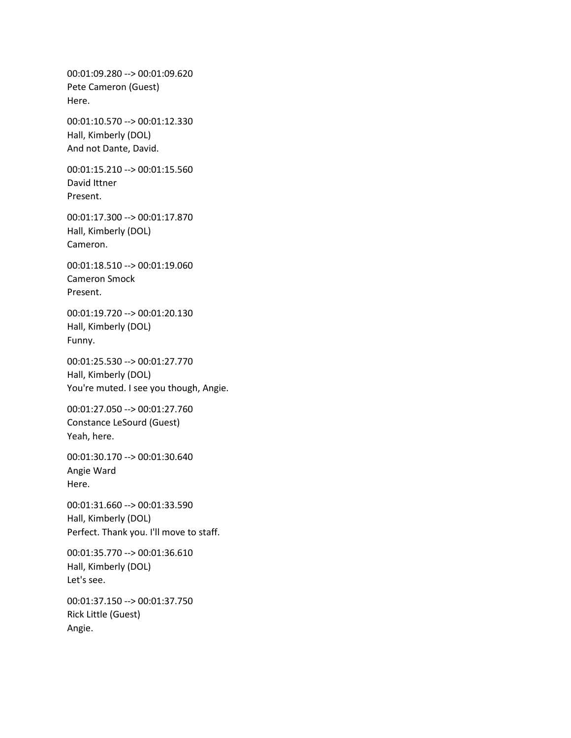00:01:09.280 --> 00:01:09.620 Pete Cameron (Guest) Here.

00:01:10.570 --> 00:01:12.330 Hall, Kimberly (DOL) And not Dante, David.

00:01:15.210 --> 00:01:15.560 David Ittner Present.

00:01:17.300 --> 00:01:17.870 Hall, Kimberly (DOL) Cameron.

00:01:18.510 --> 00:01:19.060 Cameron Smock Present.

00:01:19.720 --> 00:01:20.130 Hall, Kimberly (DOL) Funny.

00:01:25.530 --> 00:01:27.770 Hall, Kimberly (DOL) You're muted. I see you though, Angie.

00:01:27.050 --> 00:01:27.760 Constance LeSourd (Guest) Yeah, here.

00:01:30.170 --> 00:01:30.640 Angie Ward Here.

00:01:31.660 --> 00:01:33.590 Hall, Kimberly (DOL) Perfect. Thank you. I'll move to staff.

00:01:35.770 --> 00:01:36.610 Hall, Kimberly (DOL) Let's see.

00:01:37.150 --> 00:01:37.750 Rick Little (Guest) Angie.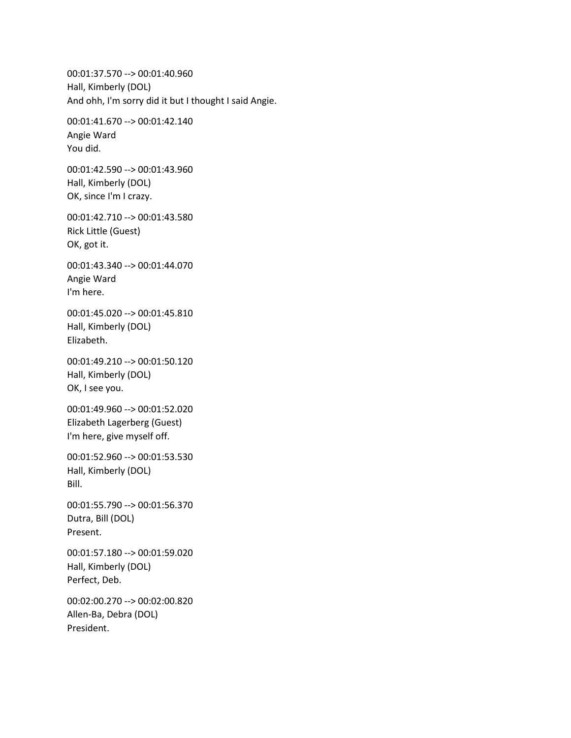00:01:37.570 --> 00:01:40.960 Hall, Kimberly (DOL) And ohh, I'm sorry did it but I thought I said Angie.

00:01:41.670 --> 00:01:42.140 Angie Ward You did.

00:01:42.590 --> 00:01:43.960 Hall, Kimberly (DOL) OK, since I'm I crazy.

00:01:42.710 --> 00:01:43.580 Rick Little (Guest) OK, got it.

00:01:43.340 --> 00:01:44.070 Angie Ward I'm here.

00:01:45.020 --> 00:01:45.810 Hall, Kimberly (DOL) Elizabeth.

00:01:49.210 --> 00:01:50.120 Hall, Kimberly (DOL) OK, I see you.

00:01:49.960 --> 00:01:52.020 Elizabeth Lagerberg (Guest) I'm here, give myself off.

00:01:52.960 --> 00:01:53.530 Hall, Kimberly (DOL) Bill.

00:01:55.790 --> 00:01:56.370 Dutra, Bill (DOL) Present.

00:01:57.180 --> 00:01:59.020 Hall, Kimberly (DOL) Perfect, Deb.

00:02:00.270 --> 00:02:00.820 Allen-Ba, Debra (DOL) President.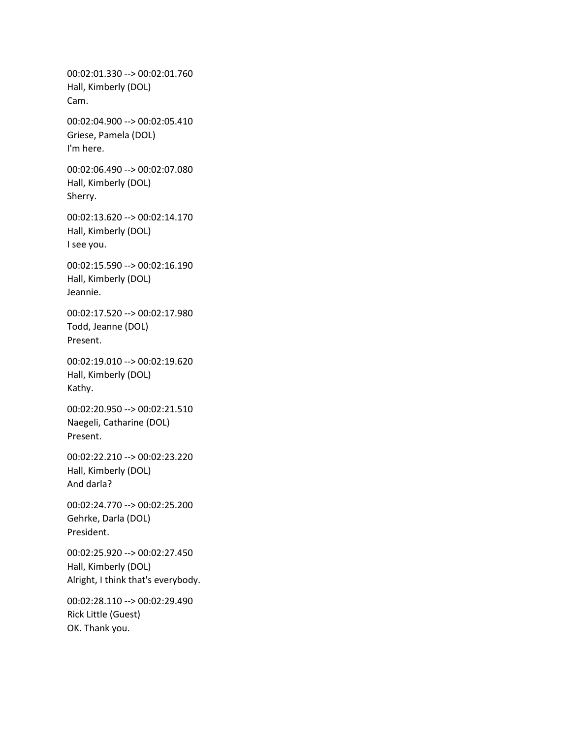00:02:01.330 --> 00:02:01.760 Hall, Kimberly (DOL) Cam. 00:02:04.900 --> 00:02:05.410 Griese, Pamela (DOL) I'm here. 00:02:06.490 --> 00:02:07.080 Hall, Kimberly (DOL) Sherry. 00:02:13.620 --> 00:02:14.170 Hall, Kimberly (DOL) I see you. 00:02:15.590 --> 00:02:16.190 Hall, Kimberly (DOL) Jeannie. 00:02:17.520 --> 00:02:17.980 Todd, Jeanne (DOL) Present. 00:02:19.010 --> 00:02:19.620 Hall, Kimberly (DOL) Kathy. 00:02:20.950 --> 00:02:21.510 Naegeli, Catharine (DOL) Present. 00:02:22.210 --> 00:02:23.220 Hall, Kimberly (DOL) And darla? 00:02:24.770 --> 00:02:25.200 Gehrke, Darla (DOL) President. 00:02:25.920 --> 00:02:27.450 Hall, Kimberly (DOL) Alright, I think that's everybody. 00:02:28.110 --> 00:02:29.490

Rick Little (Guest) OK. Thank you.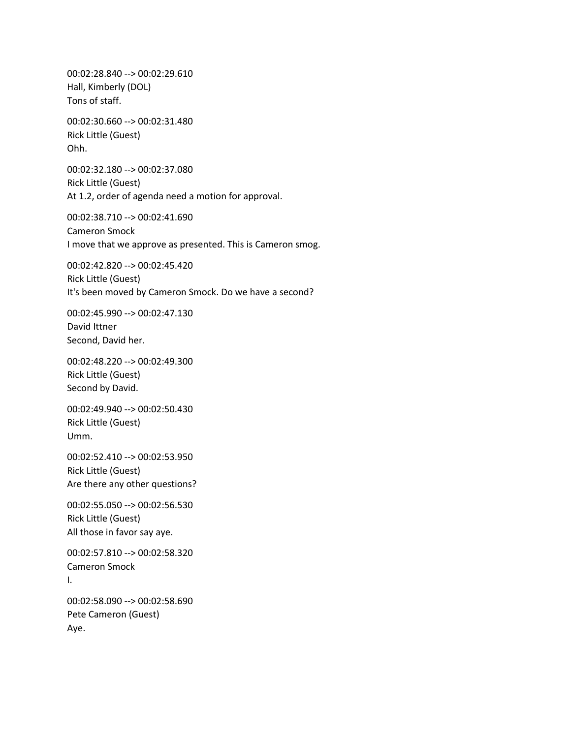00:02:28.840 --> 00:02:29.610 Hall, Kimberly (DOL) Tons of staff.

00:02:30.660 --> 00:02:31.480 Rick Little (Guest) Ohh.

00:02:32.180 --> 00:02:37.080 Rick Little (Guest) At 1.2, order of agenda need a motion for approval.

00:02:38.710 --> 00:02:41.690 Cameron Smock I move that we approve as presented. This is Cameron smog.

00:02:42.820 --> 00:02:45.420 Rick Little (Guest) It's been moved by Cameron Smock. Do we have a second?

00:02:45.990 --> 00:02:47.130 David Ittner Second, David her.

00:02:48.220 --> 00:02:49.300 Rick Little (Guest) Second by David.

00:02:49.940 --> 00:02:50.430 Rick Little (Guest) Umm.

00:02:52.410 --> 00:02:53.950 Rick Little (Guest) Are there any other questions?

00:02:55.050 --> 00:02:56.530 Rick Little (Guest) All those in favor say aye.

00:02:57.810 --> 00:02:58.320 Cameron Smock I.

00:02:58.090 --> 00:02:58.690 Pete Cameron (Guest) Aye.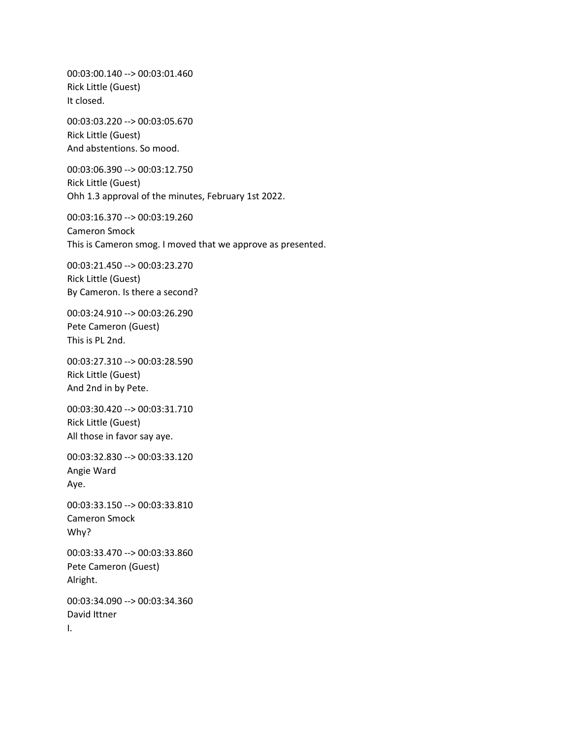00:03:00.140 --> 00:03:01.460 Rick Little (Guest) It closed.

00:03:03.220 --> 00:03:05.670 Rick Little (Guest) And abstentions. So mood.

00:03:06.390 --> 00:03:12.750 Rick Little (Guest) Ohh 1.3 approval of the minutes, February 1st 2022.

00:03:16.370 --> 00:03:19.260 Cameron Smock This is Cameron smog. I moved that we approve as presented.

00:03:21.450 --> 00:03:23.270 Rick Little (Guest) By Cameron. Is there a second?

00:03:24.910 --> 00:03:26.290 Pete Cameron (Guest) This is PL 2nd.

00:03:27.310 --> 00:03:28.590 Rick Little (Guest) And 2nd in by Pete.

00:03:30.420 --> 00:03:31.710 Rick Little (Guest) All those in favor say aye.

00:03:32.830 --> 00:03:33.120 Angie Ward Aye.

00:03:33.150 --> 00:03:33.810 Cameron Smock Why?

00:03:33.470 --> 00:03:33.860 Pete Cameron (Guest) Alright.

00:03:34.090 --> 00:03:34.360 David Ittner I.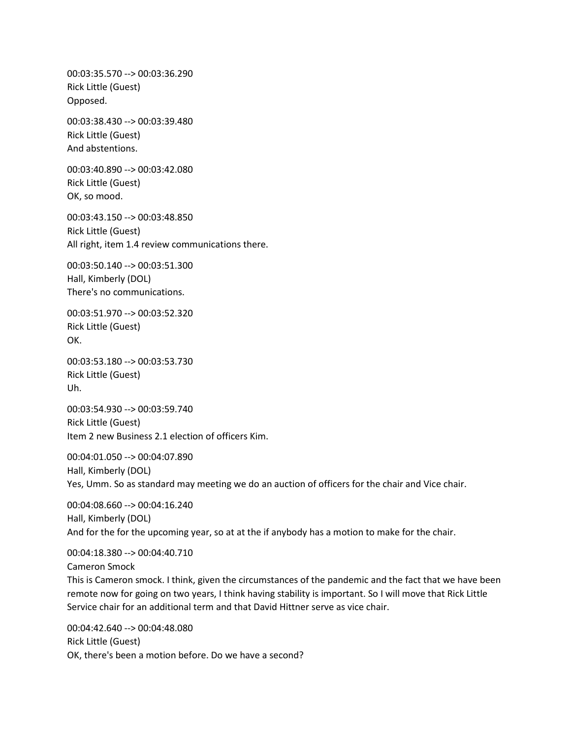00:03:35.570 --> 00:03:36.290 Rick Little (Guest) Opposed. 00:03:38.430 --> 00:03:39.480 Rick Little (Guest) And abstentions. 00:03:40.890 --> 00:03:42.080 Rick Little (Guest) OK, so mood. 00:03:43.150 --> 00:03:48.850 Rick Little (Guest) All right, item 1.4 review communications there. 00:03:50.140 --> 00:03:51.300 Hall, Kimberly (DOL) There's no communications. 00:03:51.970 --> 00:03:52.320 Rick Little (Guest) OK. 00:03:53.180 --> 00:03:53.730 Rick Little (Guest) Uh. 00:03:54.930 --> 00:03:59.740 Rick Little (Guest) Item 2 new Business 2.1 election of officers Kim. 00:04:01.050 --> 00:04:07.890 Hall, Kimberly (DOL) Yes, Umm. So as standard may meeting we do an auction of officers for the chair and Vice chair. 00:04:08.660 --> 00:04:16.240 Hall, Kimberly (DOL) And for the for the upcoming year, so at at the if anybody has a motion to make for the chair. 00:04:18.380 --> 00:04:40.710

Cameron Smock

This is Cameron smock. I think, given the circumstances of the pandemic and the fact that we have been remote now for going on two years, I think having stability is important. So I will move that Rick Little Service chair for an additional term and that David Hittner serve as vice chair.

00:04:42.640 --> 00:04:48.080 Rick Little (Guest) OK, there's been a motion before. Do we have a second?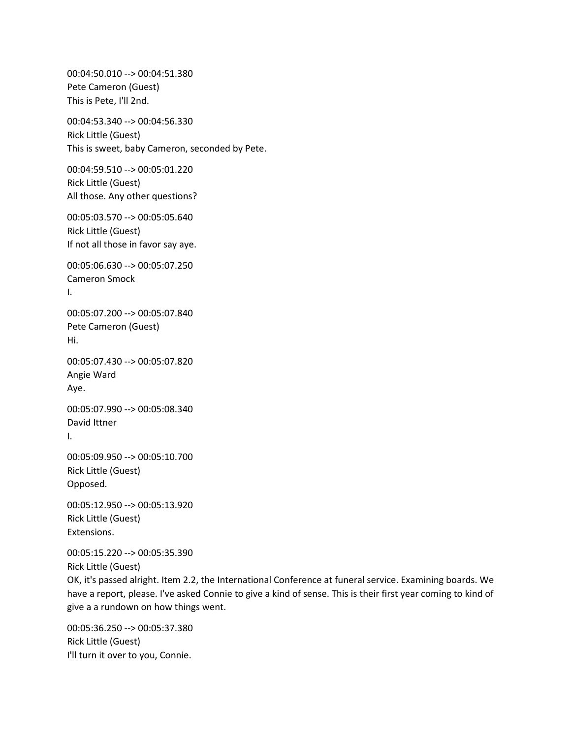00:04:50.010 --> 00:04:51.380 Pete Cameron (Guest) This is Pete, I'll 2nd. 00:04:53.340 --> 00:04:56.330 Rick Little (Guest) This is sweet, baby Cameron, seconded by Pete. 00:04:59.510 --> 00:05:01.220 Rick Little (Guest) All those. Any other questions? 00:05:03.570 --> 00:05:05.640 Rick Little (Guest) If not all those in favor say aye. 00:05:06.630 --> 00:05:07.250 Cameron Smock I. 00:05:07.200 --> 00:05:07.840 Pete Cameron (Guest) Hi. 00:05:07.430 --> 00:05:07.820 Angie Ward Aye. 00:05:07.990 --> 00:05:08.340 David Ittner I. 00:05:09.950 --> 00:05:10.700 Rick Little (Guest) Opposed. 00:05:12.950 --> 00:05:13.920 Rick Little (Guest) Extensions. 00:05:15.220 --> 00:05:35.390 Rick Little (Guest)

OK, it's passed alright. Item 2.2, the International Conference at funeral service. Examining boards. We have a report, please. I've asked Connie to give a kind of sense. This is their first year coming to kind of give a a rundown on how things went.

00:05:36.250 --> 00:05:37.380 Rick Little (Guest) I'll turn it over to you, Connie.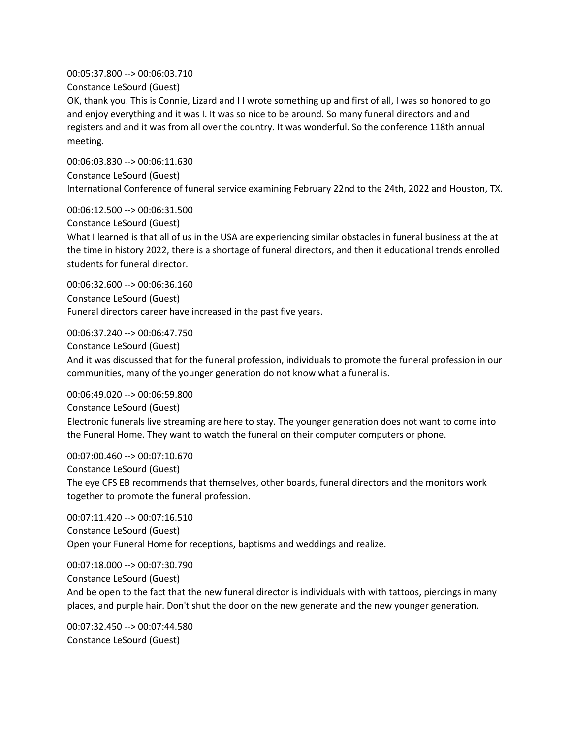00:05:37.800 --> 00:06:03.710

Constance LeSourd (Guest)

OK, thank you. This is Connie, Lizard and I I wrote something up and first of all, I was so honored to go and enjoy everything and it was I. It was so nice to be around. So many funeral directors and and registers and and it was from all over the country. It was wonderful. So the conference 118th annual meeting.

00:06:03.830 --> 00:06:11.630 Constance LeSourd (Guest) International Conference of funeral service examining February 22nd to the 24th, 2022 and Houston, TX.

00:06:12.500 --> 00:06:31.500

Constance LeSourd (Guest)

What I learned is that all of us in the USA are experiencing similar obstacles in funeral business at the at the time in history 2022, there is a shortage of funeral directors, and then it educational trends enrolled students for funeral director.

00:06:32.600 --> 00:06:36.160 Constance LeSourd (Guest) Funeral directors career have increased in the past five years.

00:06:37.240 --> 00:06:47.750 Constance LeSourd (Guest)

And it was discussed that for the funeral profession, individuals to promote the funeral profession in our communities, many of the younger generation do not know what a funeral is.

00:06:49.020 --> 00:06:59.800 Constance LeSourd (Guest) Electronic funerals live streaming are here to stay. The younger generation does not want to come into the Funeral Home. They want to watch the funeral on their computer computers or phone.

00:07:00.460 --> 00:07:10.670 Constance LeSourd (Guest) The eye CFS EB recommends that themselves, other boards, funeral directors and the monitors work together to promote the funeral profession.

00:07:11.420 --> 00:07:16.510 Constance LeSourd (Guest) Open your Funeral Home for receptions, baptisms and weddings and realize.

00:07:18.000 --> 00:07:30.790 Constance LeSourd (Guest) And be open to the fact that the new funeral director is individuals with with tattoos, piercings in many places, and purple hair. Don't shut the door on the new generate and the new younger generation.

00:07:32.450 --> 00:07:44.580 Constance LeSourd (Guest)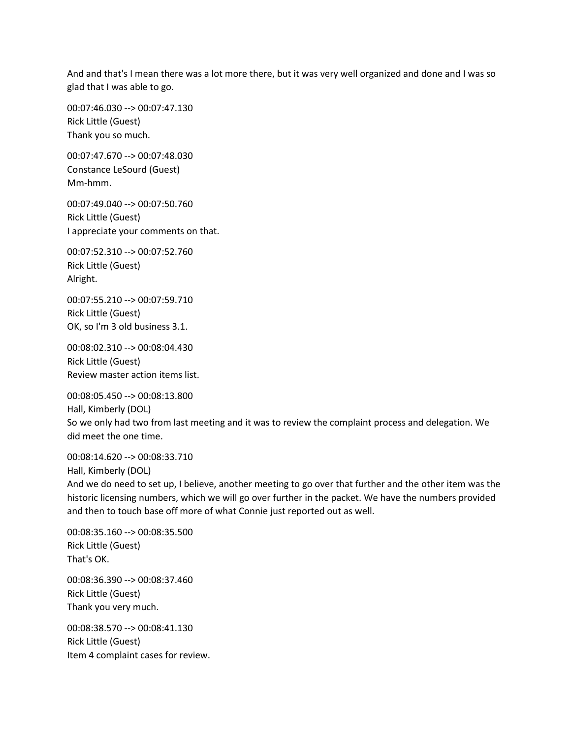And and that's I mean there was a lot more there, but it was very well organized and done and I was so glad that I was able to go.

00:07:46.030 --> 00:07:47.130 Rick Little (Guest) Thank you so much.

00:07:47.670 --> 00:07:48.030 Constance LeSourd (Guest) Mm-hmm.

00:07:49.040 --> 00:07:50.760 Rick Little (Guest) I appreciate your comments on that.

00:07:52.310 --> 00:07:52.760 Rick Little (Guest) Alright.

00:07:55.210 --> 00:07:59.710 Rick Little (Guest) OK, so I'm 3 old business 3.1.

00:08:02.310 --> 00:08:04.430 Rick Little (Guest) Review master action items list.

00:08:05.450 --> 00:08:13.800 Hall, Kimberly (DOL) So we only had two from last meeting and it was to review the complaint process and delegation. We did meet the one time.

00:08:14.620 --> 00:08:33.710 Hall, Kimberly (DOL)

And we do need to set up, I believe, another meeting to go over that further and the other item was the historic licensing numbers, which we will go over further in the packet. We have the numbers provided and then to touch base off more of what Connie just reported out as well.

00:08:35.160 --> 00:08:35.500 Rick Little (Guest) That's OK.

00:08:36.390 --> 00:08:37.460 Rick Little (Guest) Thank you very much.

00:08:38.570 --> 00:08:41.130 Rick Little (Guest) Item 4 complaint cases for review.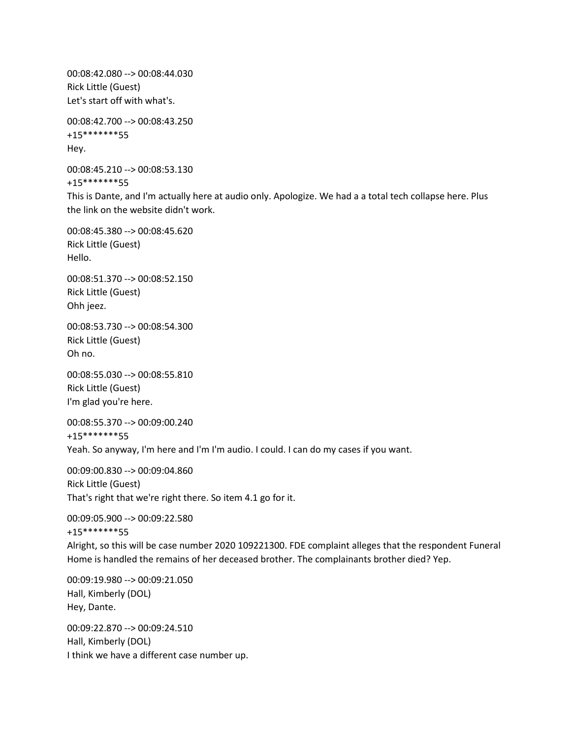00:08:42.080 --> 00:08:44.030 Rick Little (Guest) Let's start off with what's.

00:08:42.700 --> 00:08:43.250 +15\*\*\*\*\*\*\*55 Hey.

00:08:45.210 --> 00:08:53.130 +15\*\*\*\*\*\*\*55

This is Dante, and I'm actually here at audio only. Apologize. We had a a total tech collapse here. Plus the link on the website didn't work.

00:08:45.380 --> 00:08:45.620 Rick Little (Guest) Hello.

00:08:51.370 --> 00:08:52.150 Rick Little (Guest) Ohh jeez.

00:08:53.730 --> 00:08:54.300 Rick Little (Guest) Oh no.

00:08:55.030 --> 00:08:55.810 Rick Little (Guest) I'm glad you're here.

00:08:55.370 --> 00:09:00.240 +15\*\*\*\*\*\*\*55 Yeah. So anyway, I'm here and I'm I'm audio. I could. I can do my cases if you want.

00:09:00.830 --> 00:09:04.860 Rick Little (Guest) That's right that we're right there. So item 4.1 go for it.

00:09:05.900 --> 00:09:22.580 +15\*\*\*\*\*\*\*55

Alright, so this will be case number 2020 109221300. FDE complaint alleges that the respondent Funeral Home is handled the remains of her deceased brother. The complainants brother died? Yep.

00:09:19.980 --> 00:09:21.050 Hall, Kimberly (DOL) Hey, Dante.

00:09:22.870 --> 00:09:24.510 Hall, Kimberly (DOL) I think we have a different case number up.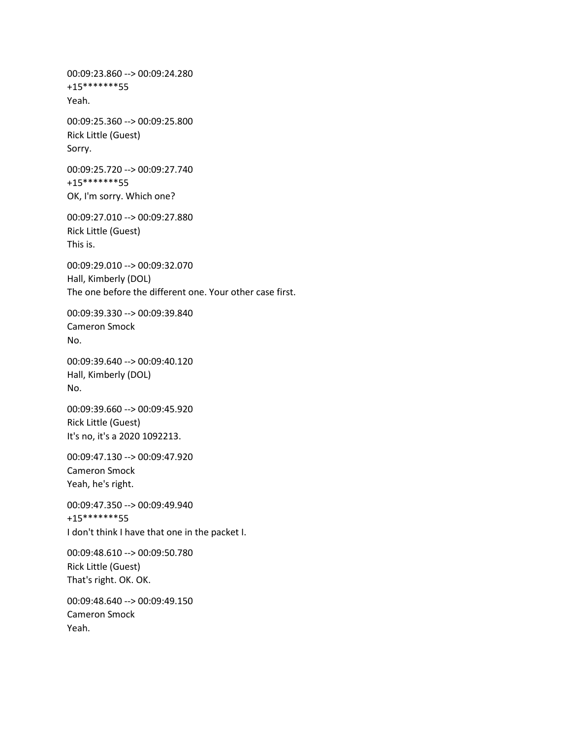00:09:23.860 --> 00:09:24.280 +15\*\*\*\*\*\*\*55 Yeah. 00:09:25.360 --> 00:09:25.800 Rick Little (Guest) Sorry. 00:09:25.720 --> 00:09:27.740 +15\*\*\*\*\*\*\*55 OK, I'm sorry. Which one? 00:09:27.010 --> 00:09:27.880 Rick Little (Guest) This is. 00:09:29.010 --> 00:09:32.070 Hall, Kimberly (DOL) The one before the different one. Your other case first. 00:09:39.330 --> 00:09:39.840 Cameron Smock No. 00:09:39.640 --> 00:09:40.120 Hall, Kimberly (DOL) No. 00:09:39.660 --> 00:09:45.920 Rick Little (Guest) It's no, it's a 2020 1092213. 00:09:47.130 --> 00:09:47.920 Cameron Smock Yeah, he's right. 00:09:47.350 --> 00:09:49.940 +15\*\*\*\*\*\*\*55 I don't think I have that one in the packet I. 00:09:48.610 --> 00:09:50.780 Rick Little (Guest) That's right. OK. OK. 00:09:48.640 --> 00:09:49.150 Cameron Smock Yeah.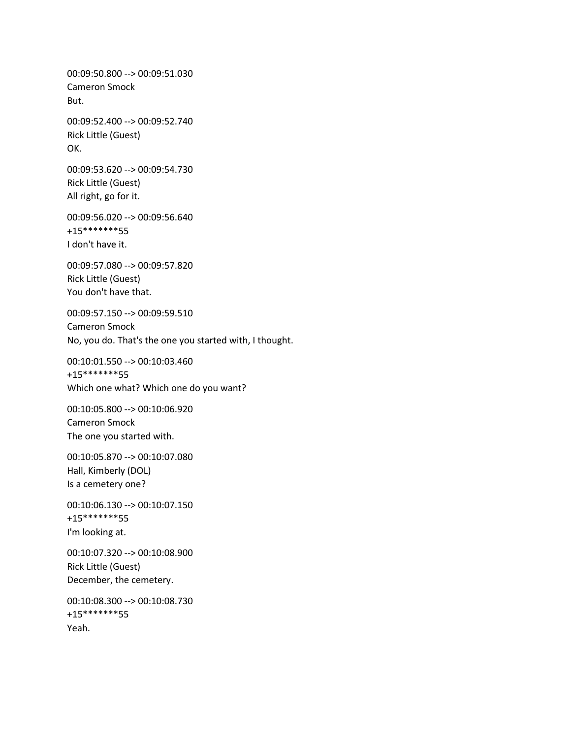00:09:50.800 --> 00:09:51.030 Cameron Smock But. 00:09:52.400 --> 00:09:52.740 Rick Little (Guest) OK. 00:09:53.620 --> 00:09:54.730 Rick Little (Guest) All right, go for it. 00:09:56.020 --> 00:09:56.640 +15\*\*\*\*\*\*\*55 I don't have it. 00:09:57.080 --> 00:09:57.820 Rick Little (Guest) You don't have that. 00:09:57.150 --> 00:09:59.510 Cameron Smock No, you do. That's the one you started with, I thought. 00:10:01.550 --> 00:10:03.460 +15\*\*\*\*\*\*\*55 Which one what? Which one do you want? 00:10:05.800 --> 00:10:06.920 Cameron Smock The one you started with. 00:10:05.870 --> 00:10:07.080 Hall, Kimberly (DOL) Is a cemetery one? 00:10:06.130 --> 00:10:07.150 +15\*\*\*\*\*\*\*55 I'm looking at. 00:10:07.320 --> 00:10:08.900 Rick Little (Guest) December, the cemetery. 00:10:08.300 --> 00:10:08.730 +15\*\*\*\*\*\*\*55 Yeah.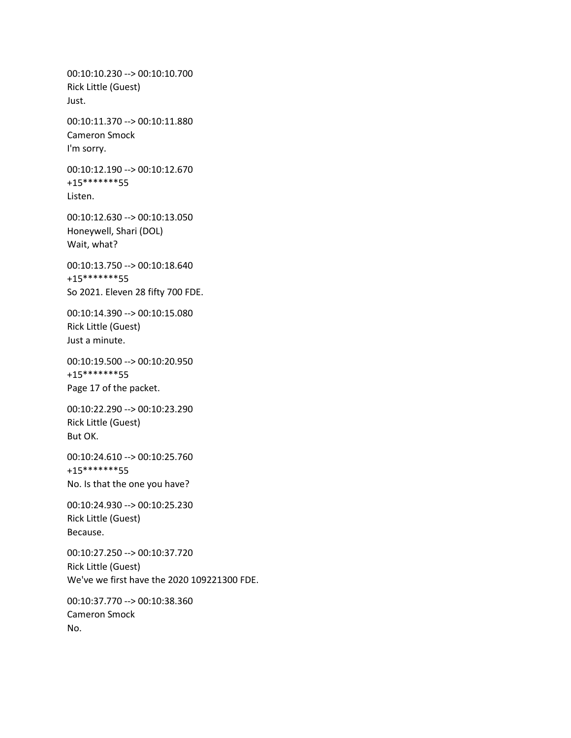00:10:10.230 --> 00:10:10.700 Rick Little (Guest) Just. 00:10:11.370 --> 00:10:11.880 Cameron Smock I'm sorry. 00:10:12.190 --> 00:10:12.670 +15\*\*\*\*\*\*\*55 Listen. 00:10:12.630 --> 00:10:13.050 Honeywell, Shari (DOL) Wait, what? 00:10:13.750 --> 00:10:18.640 +15\*\*\*\*\*\*\*55 So 2021. Eleven 28 fifty 700 FDE. 00:10:14.390 --> 00:10:15.080 Rick Little (Guest) Just a minute. 00:10:19.500 --> 00:10:20.950 +15\*\*\*\*\*\*\*55 Page 17 of the packet. 00:10:22.290 --> 00:10:23.290 Rick Little (Guest) But OK. 00:10:24.610 --> 00:10:25.760 +15\*\*\*\*\*\*\*55 No. Is that the one you have? 00:10:24.930 --> 00:10:25.230 Rick Little (Guest) Because. 00:10:27.250 --> 00:10:37.720 Rick Little (Guest) We've we first have the 2020 109221300 FDE. 00:10:37.770 --> 00:10:38.360

Cameron Smock No.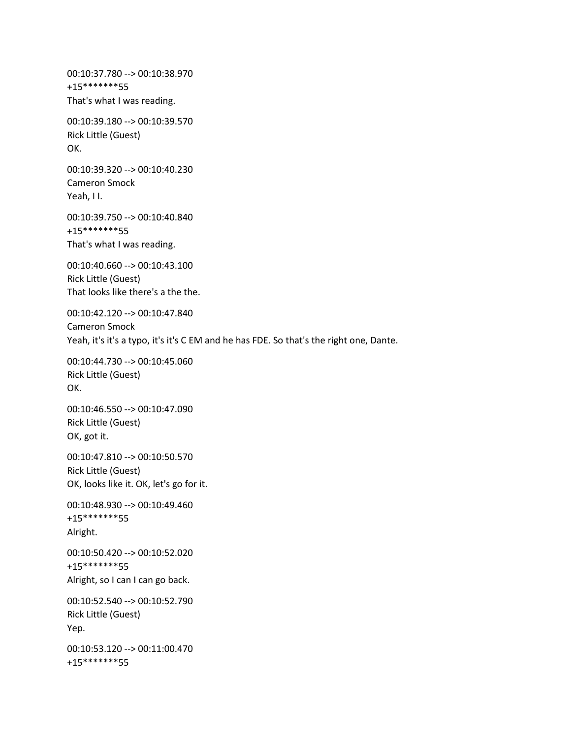00:10:37.780 --> 00:10:38.970 +15\*\*\*\*\*\*\*55 That's what I was reading. 00:10:39.180 --> 00:10:39.570 Rick Little (Guest) OK. 00:10:39.320 --> 00:10:40.230 Cameron Smock Yeah, I I. 00:10:39.750 --> 00:10:40.840 +15\*\*\*\*\*\*\*55 That's what I was reading. 00:10:40.660 --> 00:10:43.100 Rick Little (Guest) That looks like there's a the the. 00:10:42.120 --> 00:10:47.840 Cameron Smock Yeah, it's it's a typo, it's it's C EM and he has FDE. So that's the right one, Dante. 00:10:44.730 --> 00:10:45.060 Rick Little (Guest) OK. 00:10:46.550 --> 00:10:47.090 Rick Little (Guest) OK, got it. 00:10:47.810 --> 00:10:50.570 Rick Little (Guest) OK, looks like it. OK, let's go for it. 00:10:48.930 --> 00:10:49.460 +15\*\*\*\*\*\*\*55 Alright. 00:10:50.420 --> 00:10:52.020 +15\*\*\*\*\*\*\*55 Alright, so I can I can go back. 00:10:52.540 --> 00:10:52.790 Rick Little (Guest) Yep. 00:10:53.120 --> 00:11:00.470 +15\*\*\*\*\*\*\*55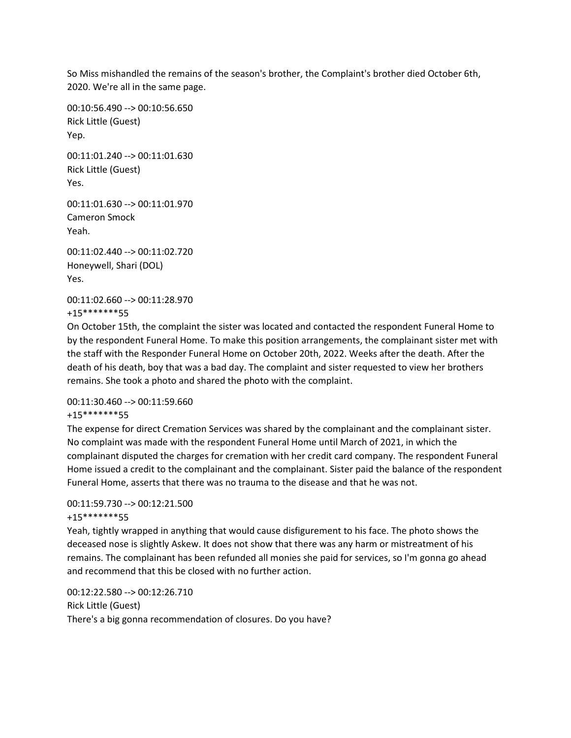So Miss mishandled the remains of the season's brother, the Complaint's brother died October 6th, 2020. We're all in the same page.

00:10:56.490 --> 00:10:56.650 Rick Little (Guest) Yep. 00:11:01.240 --> 00:11:01.630 Rick Little (Guest) Yes. 00:11:01.630 --> 00:11:01.970 Cameron Smock Yeah. 00:11:02.440 --> 00:11:02.720 Honeywell, Shari (DOL) Yes. 00:11:02.660 --> 00:11:28.970

+15\*\*\*\*\*\*\*55

On October 15th, the complaint the sister was located and contacted the respondent Funeral Home to by the respondent Funeral Home. To make this position arrangements, the complainant sister met with the staff with the Responder Funeral Home on October 20th, 2022. Weeks after the death. After the death of his death, boy that was a bad day. The complaint and sister requested to view her brothers remains. She took a photo and shared the photo with the complaint.

00:11:30.460 --> 00:11:59.660

+15\*\*\*\*\*\*\*55

The expense for direct Cremation Services was shared by the complainant and the complainant sister. No complaint was made with the respondent Funeral Home until March of 2021, in which the complainant disputed the charges for cremation with her credit card company. The respondent Funeral Home issued a credit to the complainant and the complainant. Sister paid the balance of the respondent Funeral Home, asserts that there was no trauma to the disease and that he was not.

## 00:11:59.730 --> 00:12:21.500

#### +15\*\*\*\*\*\*\*55

Yeah, tightly wrapped in anything that would cause disfigurement to his face. The photo shows the deceased nose is slightly Askew. It does not show that there was any harm or mistreatment of his remains. The complainant has been refunded all monies she paid for services, so I'm gonna go ahead and recommend that this be closed with no further action.

00:12:22.580 --> 00:12:26.710 Rick Little (Guest) There's a big gonna recommendation of closures. Do you have?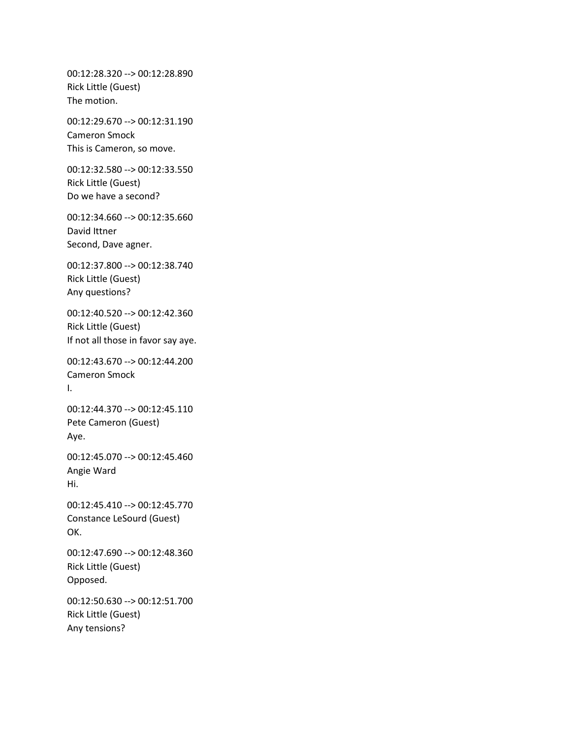00:12:28.320 --> 00:12:28.890 Rick Little (Guest) The motion.

00:12:29.670 --> 00:12:31.190 Cameron Smock This is Cameron, so move.

00:12:32.580 --> 00:12:33.550 Rick Little (Guest) Do we have a second?

00:12:34.660 --> 00:12:35.660 David Ittner Second, Dave agner.

00:12:37.800 --> 00:12:38.740 Rick Little (Guest) Any questions?

00:12:40.520 --> 00:12:42.360 Rick Little (Guest) If not all those in favor say aye.

00:12:43.670 --> 00:12:44.200 Cameron Smock I.

00:12:44.370 --> 00:12:45.110 Pete Cameron (Guest) Aye.

00:12:45.070 --> 00:12:45.460 Angie Ward Hi.

00:12:45.410 --> 00:12:45.770 Constance LeSourd (Guest) OK.

00:12:47.690 --> 00:12:48.360 Rick Little (Guest) Opposed.

00:12:50.630 --> 00:12:51.700 Rick Little (Guest) Any tensions?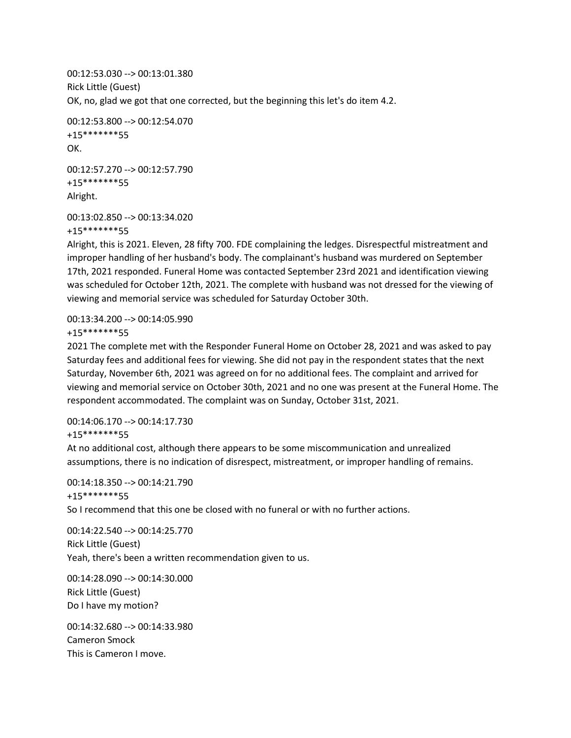00:12:53.030 --> 00:13:01.380 Rick Little (Guest) OK, no, glad we got that one corrected, but the beginning this let's do item 4.2.

```
00:12:53.800 --> 00:12:54.070
+15*******55
OK.
```
00:12:57.270 --> 00:12:57.790 +15\*\*\*\*\*\*\*55 Alright.

```
00:13:02.850 --> 00:13:34.020
```
+15\*\*\*\*\*\*\*55

Alright, this is 2021. Eleven, 28 fifty 700. FDE complaining the ledges. Disrespectful mistreatment and improper handling of her husband's body. The complainant's husband was murdered on September 17th, 2021 responded. Funeral Home was contacted September 23rd 2021 and identification viewing was scheduled for October 12th, 2021. The complete with husband was not dressed for the viewing of viewing and memorial service was scheduled for Saturday October 30th.

00:13:34.200 --> 00:14:05.990 +15\*\*\*\*\*\*\*55

2021 The complete met with the Responder Funeral Home on October 28, 2021 and was asked to pay Saturday fees and additional fees for viewing. She did not pay in the respondent states that the next Saturday, November 6th, 2021 was agreed on for no additional fees. The complaint and arrived for viewing and memorial service on October 30th, 2021 and no one was present at the Funeral Home. The respondent accommodated. The complaint was on Sunday, October 31st, 2021.

00:14:06.170 --> 00:14:17.730 +15\*\*\*\*\*\*\*55

At no additional cost, although there appears to be some miscommunication and unrealized assumptions, there is no indication of disrespect, mistreatment, or improper handling of remains.

00:14:18.350 --> 00:14:21.790 +15\*\*\*\*\*\*\*55

So I recommend that this one be closed with no funeral or with no further actions.

00:14:22.540 --> 00:14:25.770 Rick Little (Guest) Yeah, there's been a written recommendation given to us.

00:14:28.090 --> 00:14:30.000 Rick Little (Guest) Do I have my motion?

00:14:32.680 --> 00:14:33.980 Cameron Smock This is Cameron I move.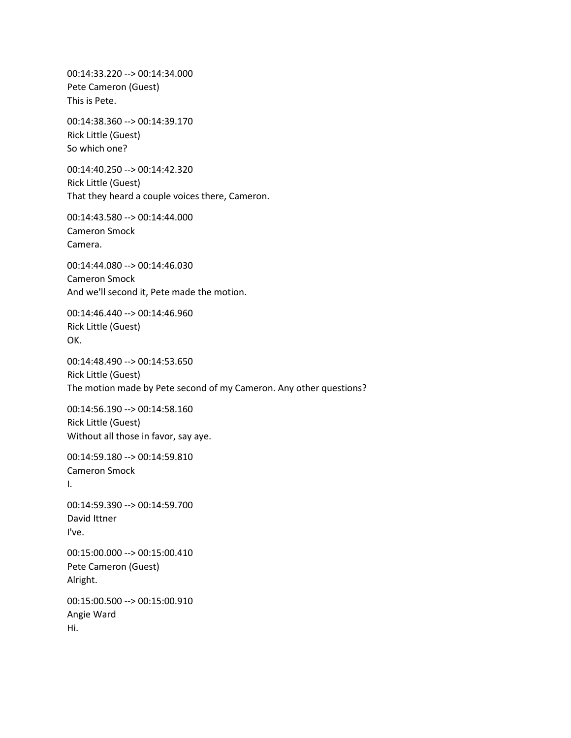00:14:33.220 --> 00:14:34.000 Pete Cameron (Guest) This is Pete.

00:14:38.360 --> 00:14:39.170 Rick Little (Guest) So which one?

00:14:40.250 --> 00:14:42.320 Rick Little (Guest) That they heard a couple voices there, Cameron.

00:14:43.580 --> 00:14:44.000 Cameron Smock Camera.

00:14:44.080 --> 00:14:46.030 Cameron Smock And we'll second it, Pete made the motion.

00:14:46.440 --> 00:14:46.960 Rick Little (Guest) OK.

00:14:48.490 --> 00:14:53.650 Rick Little (Guest) The motion made by Pete second of my Cameron. Any other questions?

00:14:56.190 --> 00:14:58.160 Rick Little (Guest) Without all those in favor, say aye.

00:14:59.180 --> 00:14:59.810 Cameron Smock I.

00:14:59.390 --> 00:14:59.700 David Ittner I've.

00:15:00.000 --> 00:15:00.410 Pete Cameron (Guest) Alright.

00:15:00.500 --> 00:15:00.910 Angie Ward Hi.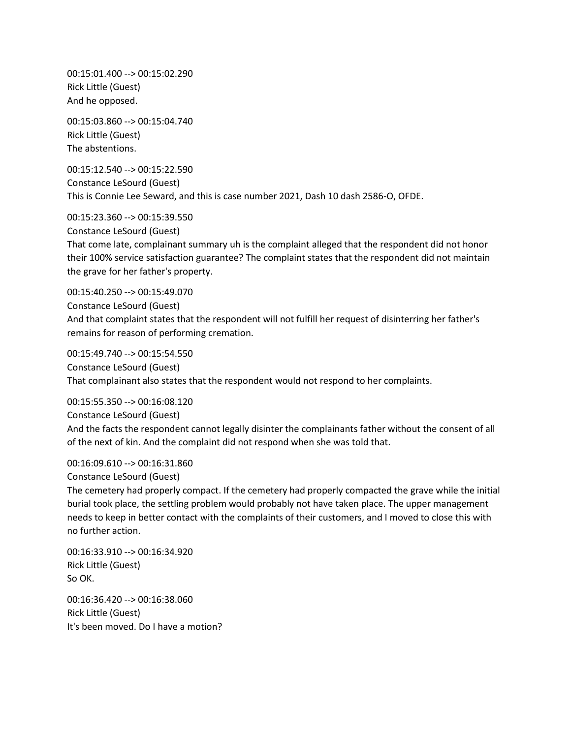00:15:01.400 --> 00:15:02.290 Rick Little (Guest) And he opposed.

00:15:03.860 --> 00:15:04.740 Rick Little (Guest) The abstentions.

00:15:12.540 --> 00:15:22.590 Constance LeSourd (Guest) This is Connie Lee Seward, and this is case number 2021, Dash 10 dash 2586-O, OFDE.

00:15:23.360 --> 00:15:39.550 Constance LeSourd (Guest) That come late, complainant summary uh is the complaint alleged that the respondent did not honor their 100% service satisfaction guarantee? The complaint states that the respondent did not maintain the grave for her father's property.

00:15:40.250 --> 00:15:49.070 Constance LeSourd (Guest) And that complaint states that the respondent will not fulfill her request of disinterring her father's remains for reason of performing cremation.

00:15:49.740 --> 00:15:54.550 Constance LeSourd (Guest) That complainant also states that the respondent would not respond to her complaints.

00:15:55.350 --> 00:16:08.120 Constance LeSourd (Guest) And the facts the respondent cannot legally disinter the complainants father without the consent of all of the next of kin. And the complaint did not respond when she was told that.

00:16:09.610 --> 00:16:31.860

Constance LeSourd (Guest)

The cemetery had properly compact. If the cemetery had properly compacted the grave while the initial burial took place, the settling problem would probably not have taken place. The upper management needs to keep in better contact with the complaints of their customers, and I moved to close this with no further action.

00:16:33.910 --> 00:16:34.920 Rick Little (Guest) So OK.

00:16:36.420 --> 00:16:38.060 Rick Little (Guest) It's been moved. Do I have a motion?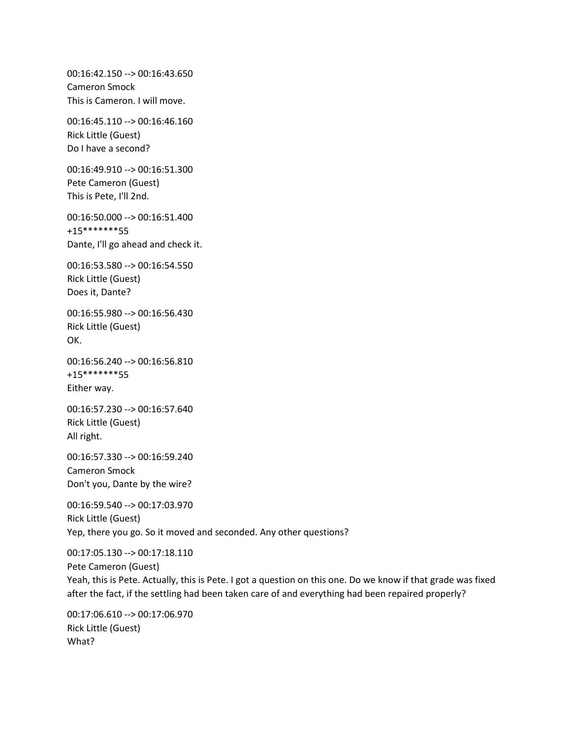00:16:42.150 --> 00:16:43.650 Cameron Smock This is Cameron. I will move.

00:16:45.110 --> 00:16:46.160 Rick Little (Guest) Do I have a second?

00:16:49.910 --> 00:16:51.300 Pete Cameron (Guest) This is Pete, I'll 2nd.

00:16:50.000 --> 00:16:51.400 +15\*\*\*\*\*\*\*55 Dante, I'll go ahead and check it.

00:16:53.580 --> 00:16:54.550 Rick Little (Guest) Does it, Dante?

00:16:55.980 --> 00:16:56.430 Rick Little (Guest) OK.

00:16:56.240 --> 00:16:56.810 +15\*\*\*\*\*\*\*55 Either way.

00:16:57.230 --> 00:16:57.640 Rick Little (Guest) All right.

00:16:57.330 --> 00:16:59.240 Cameron Smock Don't you, Dante by the wire?

00:16:59.540 --> 00:17:03.970 Rick Little (Guest) Yep, there you go. So it moved and seconded. Any other questions?

00:17:05.130 --> 00:17:18.110 Pete Cameron (Guest) Yeah, this is Pete. Actually, this is Pete. I got a question on this one. Do we know if that grade was fixed after the fact, if the settling had been taken care of and everything had been repaired properly?

00:17:06.610 --> 00:17:06.970 Rick Little (Guest) What?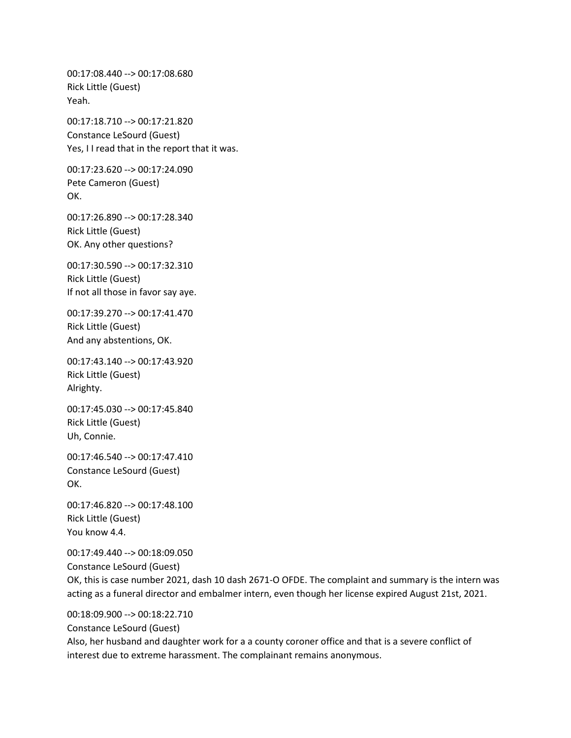00:17:08.440 --> 00:17:08.680 Rick Little (Guest) Yeah.

00:17:18.710 --> 00:17:21.820 Constance LeSourd (Guest) Yes, I I read that in the report that it was.

00:17:23.620 --> 00:17:24.090 Pete Cameron (Guest) OK.

00:17:26.890 --> 00:17:28.340 Rick Little (Guest) OK. Any other questions?

00:17:30.590 --> 00:17:32.310 Rick Little (Guest) If not all those in favor say aye.

00:17:39.270 --> 00:17:41.470 Rick Little (Guest) And any abstentions, OK.

00:17:43.140 --> 00:17:43.920 Rick Little (Guest) Alrighty.

00:17:45.030 --> 00:17:45.840 Rick Little (Guest) Uh, Connie.

00:17:46.540 --> 00:17:47.410 Constance LeSourd (Guest) OK.

00:17:46.820 --> 00:17:48.100 Rick Little (Guest) You know 4.4.

00:17:49.440 --> 00:18:09.050 Constance LeSourd (Guest) OK, this is case number 2021, dash 10 dash 2671-O OFDE. The complaint and summary is the intern was acting as a funeral director and embalmer intern, even though her license expired August 21st, 2021.

00:18:09.900 --> 00:18:22.710 Constance LeSourd (Guest) Also, her husband and daughter work for a a county coroner office and that is a severe conflict of interest due to extreme harassment. The complainant remains anonymous.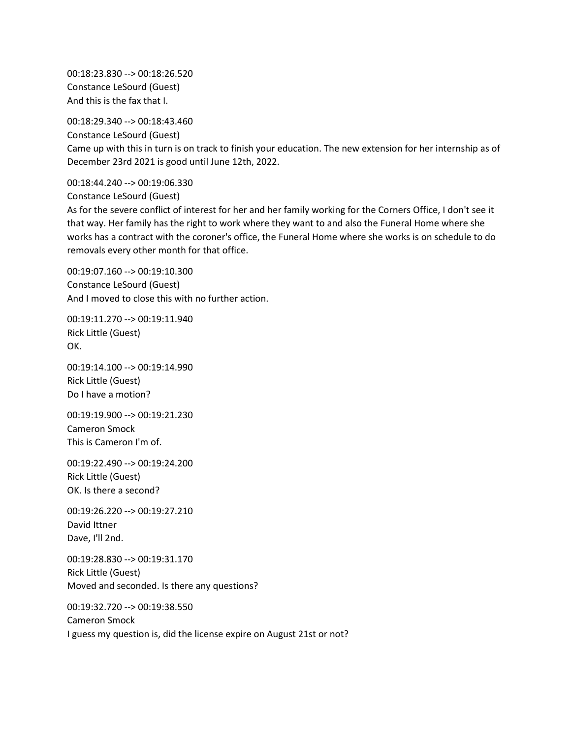00:18:23.830 --> 00:18:26.520 Constance LeSourd (Guest) And this is the fax that I.

00:18:29.340 --> 00:18:43.460

Constance LeSourd (Guest)

Came up with this in turn is on track to finish your education. The new extension for her internship as of December 23rd 2021 is good until June 12th, 2022.

00:18:44.240 --> 00:19:06.330

Constance LeSourd (Guest)

As for the severe conflict of interest for her and her family working for the Corners Office, I don't see it that way. Her family has the right to work where they want to and also the Funeral Home where she works has a contract with the coroner's office, the Funeral Home where she works is on schedule to do removals every other month for that office.

00:19:07.160 --> 00:19:10.300 Constance LeSourd (Guest) And I moved to close this with no further action.

00:19:11.270 --> 00:19:11.940 Rick Little (Guest) OK.

00:19:14.100 --> 00:19:14.990 Rick Little (Guest) Do I have a motion?

00:19:19.900 --> 00:19:21.230 Cameron Smock This is Cameron I'm of.

00:19:22.490 --> 00:19:24.200 Rick Little (Guest) OK. Is there a second?

00:19:26.220 --> 00:19:27.210 David Ittner Dave, I'll 2nd.

00:19:28.830 --> 00:19:31.170 Rick Little (Guest) Moved and seconded. Is there any questions?

00:19:32.720 --> 00:19:38.550 Cameron Smock I guess my question is, did the license expire on August 21st or not?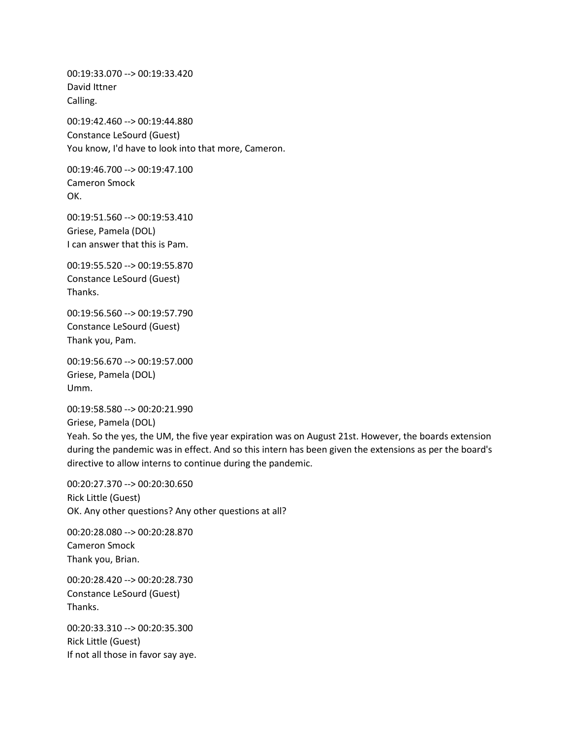00:19:33.070 --> 00:19:33.420 David Ittner Calling.

00:19:42.460 --> 00:19:44.880 Constance LeSourd (Guest) You know, I'd have to look into that more, Cameron.

00:19:46.700 --> 00:19:47.100 Cameron Smock OK.

00:19:51.560 --> 00:19:53.410 Griese, Pamela (DOL) I can answer that this is Pam.

00:19:55.520 --> 00:19:55.870 Constance LeSourd (Guest) Thanks.

00:19:56.560 --> 00:19:57.790 Constance LeSourd (Guest) Thank you, Pam.

00:19:56.670 --> 00:19:57.000 Griese, Pamela (DOL) Umm.

00:19:58.580 --> 00:20:21.990 Griese, Pamela (DOL) Yeah. So the yes, the UM, the five year expiration was on August 21st. However, the boards extension during the pandemic was in effect. And so this intern has been given the extensions as per the board's directive to allow interns to continue during the pandemic.

00:20:27.370 --> 00:20:30.650 Rick Little (Guest) OK. Any other questions? Any other questions at all?

00:20:28.080 --> 00:20:28.870 Cameron Smock Thank you, Brian.

00:20:28.420 --> 00:20:28.730 Constance LeSourd (Guest) Thanks.

00:20:33.310 --> 00:20:35.300 Rick Little (Guest) If not all those in favor say aye.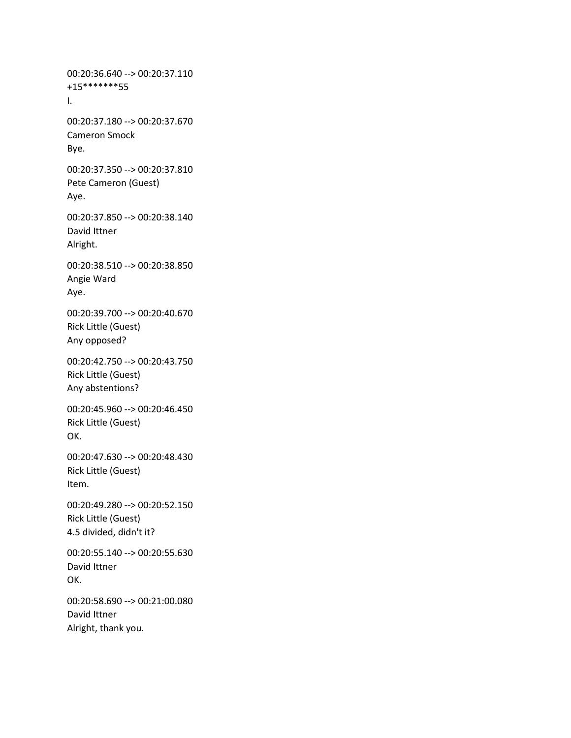00:20:36.640 --> 00:20:37.110 +15\*\*\*\*\*\*\*55 I. 00:20:37.180 --> 00:20:37.670 Cameron Smock Bye. 00:20:37.350 --> 00:20:37.810 Pete Cameron (Guest) Aye. 00:20:37.850 --> 00:20:38.140 David Ittner Alright. 00:20:38.510 --> 00:20:38.850 Angie Ward Aye. 00:20:39.700 --> 00:20:40.670 Rick Little (Guest) Any opposed? 00:20:42.750 --> 00:20:43.750 Rick Little (Guest) Any abstentions? 00:20:45.960 --> 00:20:46.450 Rick Little (Guest) OK. 00:20:47.630 --> 00:20:48.430 Rick Little (Guest) Item. 00:20:49.280 --> 00:20:52.150 Rick Little (Guest) 4.5 divided, didn't it? 00:20:55.140 --> 00:20:55.630 David Ittner OK. 00:20:58.690 --> 00:21:00.080 David Ittner Alright, thank you.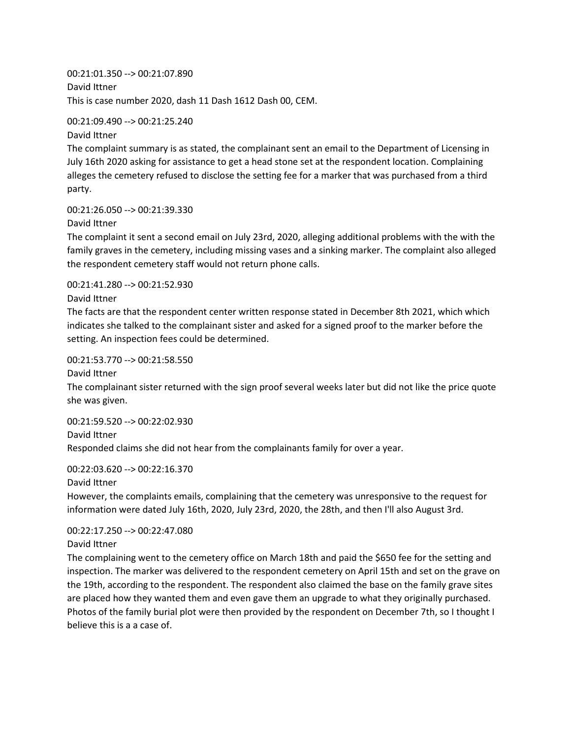00:21:01.350 --> 00:21:07.890 David Ittner This is case number 2020, dash 11 Dash 1612 Dash 00, CEM.

00:21:09.490 --> 00:21:25.240

David Ittner

The complaint summary is as stated, the complainant sent an email to the Department of Licensing in July 16th 2020 asking for assistance to get a head stone set at the respondent location. Complaining alleges the cemetery refused to disclose the setting fee for a marker that was purchased from a third party.

00:21:26.050 --> 00:21:39.330

David Ittner

The complaint it sent a second email on July 23rd, 2020, alleging additional problems with the with the family graves in the cemetery, including missing vases and a sinking marker. The complaint also alleged the respondent cemetery staff would not return phone calls.

00:21:41.280 --> 00:21:52.930

David Ittner

The facts are that the respondent center written response stated in December 8th 2021, which which indicates she talked to the complainant sister and asked for a signed proof to the marker before the setting. An inspection fees could be determined.

00:21:53.770 --> 00:21:58.550

David Ittner

The complainant sister returned with the sign proof several weeks later but did not like the price quote she was given.

00:21:59.520 --> 00:22:02.930 David Ittner Responded claims she did not hear from the complainants family for over a year.

00:22:03.620 --> 00:22:16.370

David Ittner

However, the complaints emails, complaining that the cemetery was unresponsive to the request for information were dated July 16th, 2020, July 23rd, 2020, the 28th, and then I'll also August 3rd.

00:22:17.250 --> 00:22:47.080 David Ittner

The complaining went to the cemetery office on March 18th and paid the \$650 fee for the setting and inspection. The marker was delivered to the respondent cemetery on April 15th and set on the grave on the 19th, according to the respondent. The respondent also claimed the base on the family grave sites are placed how they wanted them and even gave them an upgrade to what they originally purchased. Photos of the family burial plot were then provided by the respondent on December 7th, so I thought I believe this is a a case of.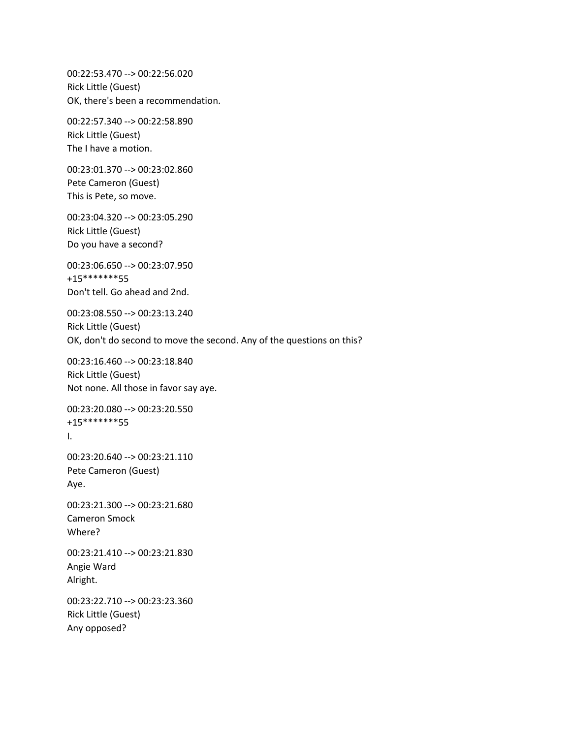00:22:53.470 --> 00:22:56.020 Rick Little (Guest) OK, there's been a recommendation.

00:22:57.340 --> 00:22:58.890 Rick Little (Guest) The I have a motion.

00:23:01.370 --> 00:23:02.860 Pete Cameron (Guest) This is Pete, so move.

00:23:04.320 --> 00:23:05.290 Rick Little (Guest) Do you have a second?

00:23:06.650 --> 00:23:07.950 +15\*\*\*\*\*\*\*55 Don't tell. Go ahead and 2nd.

00:23:08.550 --> 00:23:13.240 Rick Little (Guest) OK, don't do second to move the second. Any of the questions on this?

00:23:16.460 --> 00:23:18.840 Rick Little (Guest) Not none. All those in favor say aye.

00:23:20.080 --> 00:23:20.550 +15\*\*\*\*\*\*\*55 I.

00:23:20.640 --> 00:23:21.110 Pete Cameron (Guest) Aye.

00:23:21.300 --> 00:23:21.680 Cameron Smock Where?

00:23:21.410 --> 00:23:21.830 Angie Ward Alright.

00:23:22.710 --> 00:23:23.360 Rick Little (Guest) Any opposed?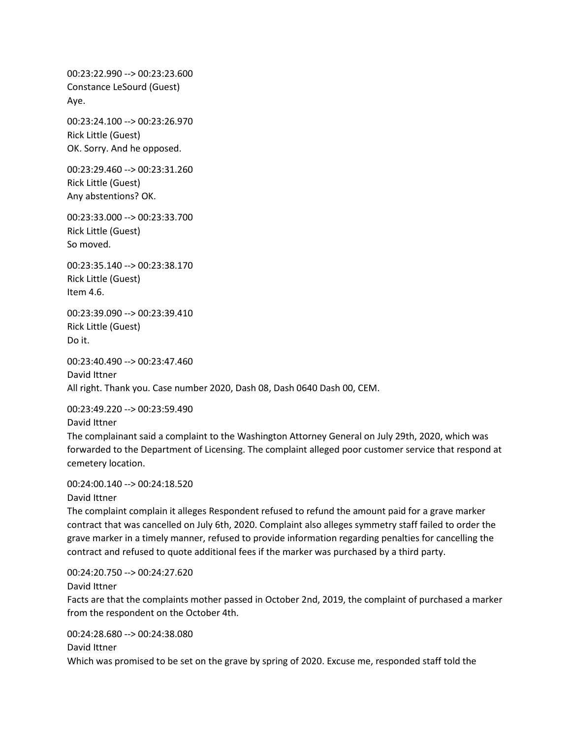00:23:22.990 --> 00:23:23.600 Constance LeSourd (Guest) Aye.

00:23:24.100 --> 00:23:26.970 Rick Little (Guest) OK. Sorry. And he opposed.

00:23:29.460 --> 00:23:31.260 Rick Little (Guest) Any abstentions? OK.

00:23:33.000 --> 00:23:33.700 Rick Little (Guest) So moved.

00:23:35.140 --> 00:23:38.170 Rick Little (Guest) Item 4.6.

00:23:39.090 --> 00:23:39.410 Rick Little (Guest) Do it.

00:23:40.490 --> 00:23:47.460 David Ittner All right. Thank you. Case number 2020, Dash 08, Dash 0640 Dash 00, CEM.

00:23:49.220 --> 00:23:59.490

David Ittner

The complainant said a complaint to the Washington Attorney General on July 29th, 2020, which was forwarded to the Department of Licensing. The complaint alleged poor customer service that respond at cemetery location.

00:24:00.140 --> 00:24:18.520

David Ittner

The complaint complain it alleges Respondent refused to refund the amount paid for a grave marker contract that was cancelled on July 6th, 2020. Complaint also alleges symmetry staff failed to order the grave marker in a timely manner, refused to provide information regarding penalties for cancelling the contract and refused to quote additional fees if the marker was purchased by a third party.

00:24:20.750 --> 00:24:27.620

David Ittner

Facts are that the complaints mother passed in October 2nd, 2019, the complaint of purchased a marker from the respondent on the October 4th.

00:24:28.680 --> 00:24:38.080

David Ittner

Which was promised to be set on the grave by spring of 2020. Excuse me, responded staff told the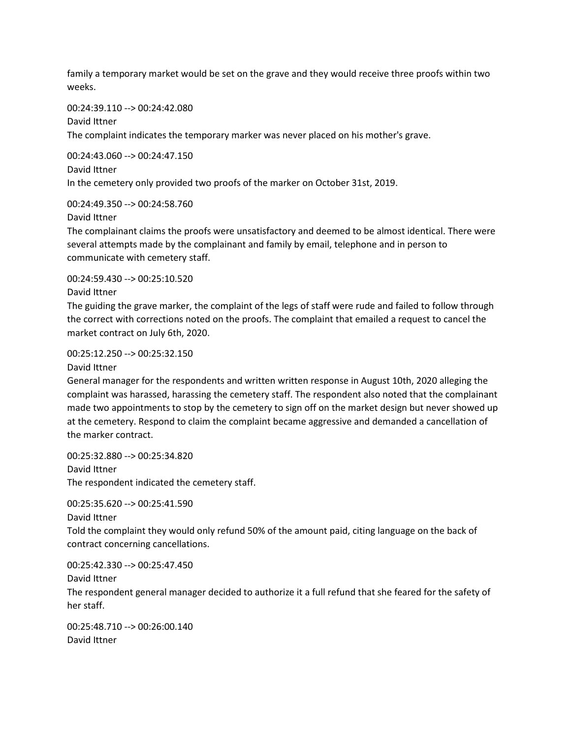family a temporary market would be set on the grave and they would receive three proofs within two weeks.

00:24:39.110 --> 00:24:42.080

David Ittner

The complaint indicates the temporary marker was never placed on his mother's grave.

00:24:43.060 --> 00:24:47.150 David Ittner In the cemetery only provided two proofs of the marker on October 31st, 2019.

00:24:49.350 --> 00:24:58.760

David Ittner

The complainant claims the proofs were unsatisfactory and deemed to be almost identical. There were several attempts made by the complainant and family by email, telephone and in person to communicate with cemetery staff.

00:24:59.430 --> 00:25:10.520

David Ittner

The guiding the grave marker, the complaint of the legs of staff were rude and failed to follow through the correct with corrections noted on the proofs. The complaint that emailed a request to cancel the market contract on July 6th, 2020.

00:25:12.250 --> 00:25:32.150

David Ittner

General manager for the respondents and written written response in August 10th, 2020 alleging the complaint was harassed, harassing the cemetery staff. The respondent also noted that the complainant made two appointments to stop by the cemetery to sign off on the market design but never showed up at the cemetery. Respond to claim the complaint became aggressive and demanded a cancellation of the marker contract.

00:25:32.880 --> 00:25:34.820 David Ittner The respondent indicated the cemetery staff.

00:25:35.620 --> 00:25:41.590

David Ittner

Told the complaint they would only refund 50% of the amount paid, citing language on the back of contract concerning cancellations.

00:25:42.330 --> 00:25:47.450 David Ittner

The respondent general manager decided to authorize it a full refund that she feared for the safety of her staff.

00:25:48.710 --> 00:26:00.140 David Ittner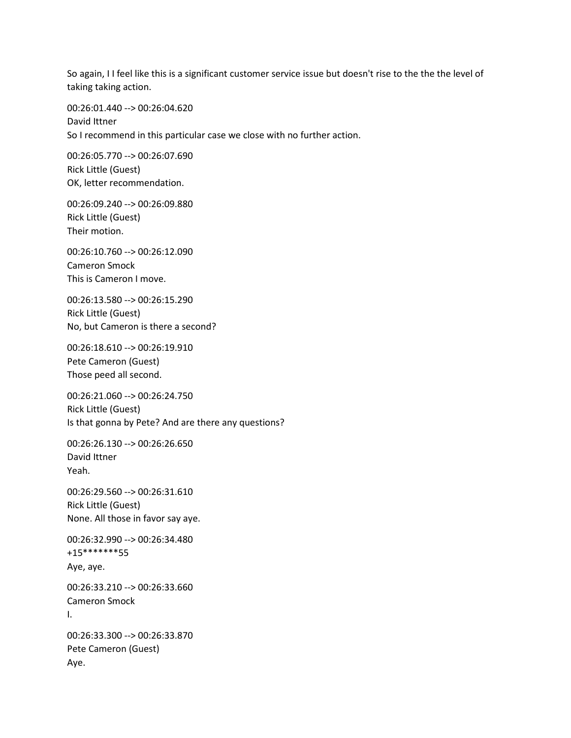So again, I I feel like this is a significant customer service issue but doesn't rise to the the the level of taking taking action.

00:26:01.440 --> 00:26:04.620 David Ittner So I recommend in this particular case we close with no further action.

00:26:05.770 --> 00:26:07.690 Rick Little (Guest) OK, letter recommendation.

00:26:09.240 --> 00:26:09.880 Rick Little (Guest) Their motion.

00:26:10.760 --> 00:26:12.090 Cameron Smock This is Cameron I move.

00:26:13.580 --> 00:26:15.290 Rick Little (Guest) No, but Cameron is there a second?

00:26:18.610 --> 00:26:19.910 Pete Cameron (Guest) Those peed all second.

00:26:21.060 --> 00:26:24.750 Rick Little (Guest) Is that gonna by Pete? And are there any questions?

00:26:26.130 --> 00:26:26.650 David Ittner Yeah.

00:26:29.560 --> 00:26:31.610 Rick Little (Guest) None. All those in favor say aye.

00:26:32.990 --> 00:26:34.480 +15\*\*\*\*\*\*\*55 Aye, aye.

00:26:33.210 --> 00:26:33.660 Cameron Smock I.

00:26:33.300 --> 00:26:33.870 Pete Cameron (Guest) Aye.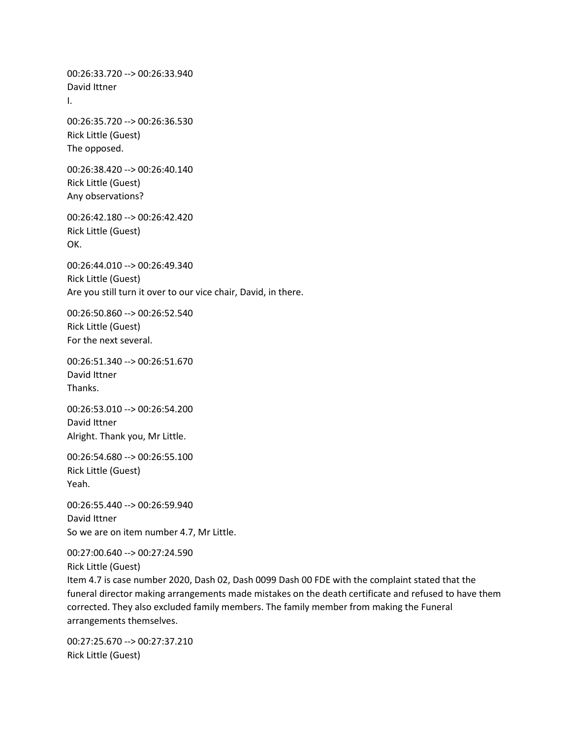00:26:33.720 --> 00:26:33.940 David Ittner I. 00:26:35.720 --> 00:26:36.530 Rick Little (Guest) The opposed. 00:26:38.420 --> 00:26:40.140 Rick Little (Guest) Any observations? 00:26:42.180 --> 00:26:42.420 Rick Little (Guest) OK. 00:26:44.010 --> 00:26:49.340 Rick Little (Guest) Are you still turn it over to our vice chair, David, in there. 00:26:50.860 --> 00:26:52.540 Rick Little (Guest) For the next several. 00:26:51.340 --> 00:26:51.670 David Ittner Thanks. 00:26:53.010 --> 00:26:54.200 David Ittner Alright. Thank you, Mr Little. 00:26:54.680 --> 00:26:55.100 Rick Little (Guest) Yeah. 00:26:55.440 --> 00:26:59.940 David Ittner So we are on item number 4.7, Mr Little. 00:27:00.640 --> 00:27:24.590 Rick Little (Guest) Item 4.7 is case number 2020, Dash 02, Dash 0099 Dash 00 FDE with the complaint stated that the funeral director making arrangements made mistakes on the death certificate and refused to have them corrected. They also excluded family members. The family member from making the Funeral arrangements themselves.

00:27:25.670 --> 00:27:37.210 Rick Little (Guest)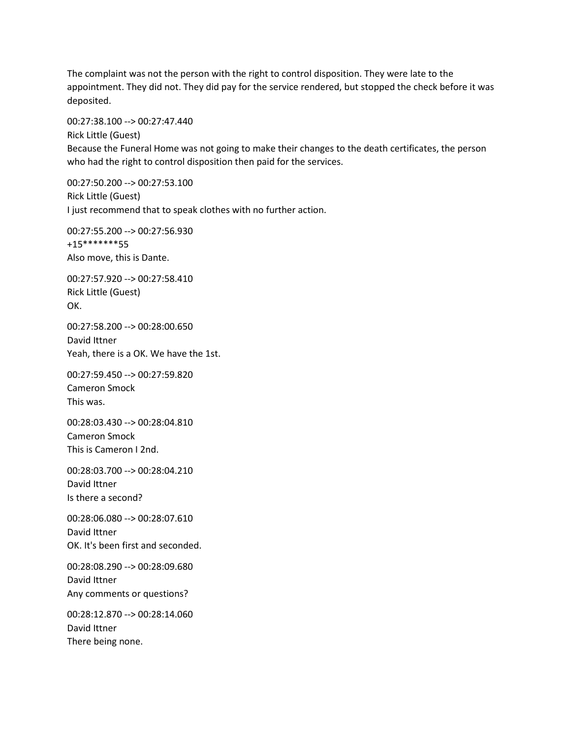The complaint was not the person with the right to control disposition. They were late to the appointment. They did not. They did pay for the service rendered, but stopped the check before it was deposited.

00:27:38.100 --> 00:27:47.440 Rick Little (Guest) Because the Funeral Home was not going to make their changes to the death certificates, the person who had the right to control disposition then paid for the services.

00:27:50.200 --> 00:27:53.100 Rick Little (Guest) I just recommend that to speak clothes with no further action.

00:27:55.200 --> 00:27:56.930 +15\*\*\*\*\*\*\*55 Also move, this is Dante.

00:27:57.920 --> 00:27:58.410 Rick Little (Guest) OK.

00:27:58.200 --> 00:28:00.650 David Ittner Yeah, there is a OK. We have the 1st.

00:27:59.450 --> 00:27:59.820 Cameron Smock This was.

00:28:03.430 --> 00:28:04.810 Cameron Smock This is Cameron I 2nd.

00:28:03.700 --> 00:28:04.210 David Ittner Is there a second?

00:28:06.080 --> 00:28:07.610 David Ittner OK. It's been first and seconded.

00:28:08.290 --> 00:28:09.680 David Ittner Any comments or questions?

00:28:12.870 --> 00:28:14.060 David Ittner There being none.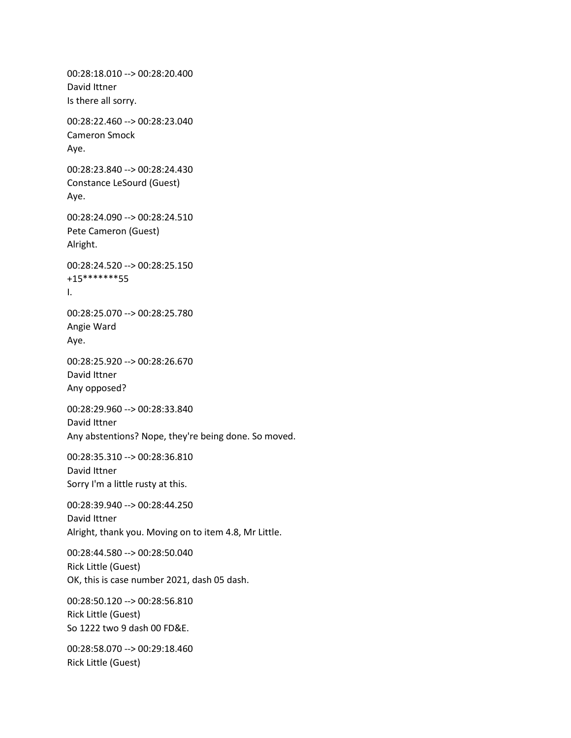00:28:18.010 --> 00:28:20.400 David Ittner Is there all sorry. 00:28:22.460 --> 00:28:23.040 Cameron Smock Aye. 00:28:23.840 --> 00:28:24.430 Constance LeSourd (Guest) Aye. 00:28:24.090 --> 00:28:24.510 Pete Cameron (Guest) Alright. 00:28:24.520 --> 00:28:25.150 +15\*\*\*\*\*\*\*55 I. 00:28:25.070 --> 00:28:25.780 Angie Ward Aye. 00:28:25.920 --> 00:28:26.670 David Ittner Any opposed? 00:28:29.960 --> 00:28:33.840 David Ittner Any abstentions? Nope, they're being done. So moved. 00:28:35.310 --> 00:28:36.810 David Ittner Sorry I'm a little rusty at this. 00:28:39.940 --> 00:28:44.250 David Ittner Alright, thank you. Moving on to item 4.8, Mr Little. 00:28:44.580 --> 00:28:50.040 Rick Little (Guest) OK, this is case number 2021, dash 05 dash. 00:28:50.120 --> 00:28:56.810 Rick Little (Guest) So 1222 two 9 dash 00 FD&E. 00:28:58.070 --> 00:29:18.460 Rick Little (Guest)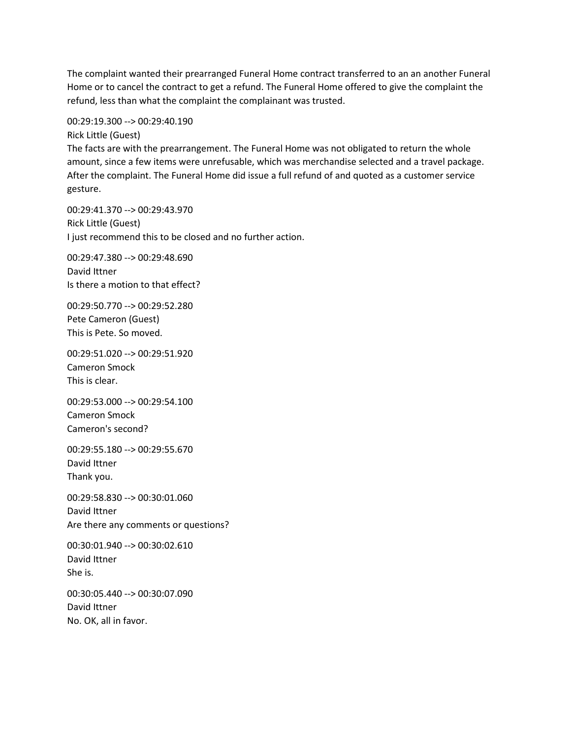The complaint wanted their prearranged Funeral Home contract transferred to an an another Funeral Home or to cancel the contract to get a refund. The Funeral Home offered to give the complaint the refund, less than what the complaint the complainant was trusted.

00:29:19.300 --> 00:29:40.190

Rick Little (Guest) The facts are with the prearrangement. The Funeral Home was not obligated to return the whole amount, since a few items were unrefusable, which was merchandise selected and a travel package. After the complaint. The Funeral Home did issue a full refund of and quoted as a customer service gesture.

00:29:41.370 --> 00:29:43.970 Rick Little (Guest) I just recommend this to be closed and no further action.

00:29:47.380 --> 00:29:48.690 David Ittner Is there a motion to that effect?

00:29:50.770 --> 00:29:52.280 Pete Cameron (Guest) This is Pete. So moved.

00:29:51.020 --> 00:29:51.920 Cameron Smock This is clear.

00:29:53.000 --> 00:29:54.100 Cameron Smock Cameron's second?

00:29:55.180 --> 00:29:55.670 David Ittner Thank you.

00:29:58.830 --> 00:30:01.060 David Ittner Are there any comments or questions?

00:30:01.940 --> 00:30:02.610 David Ittner She is.

00:30:05.440 --> 00:30:07.090 David Ittner No. OK, all in favor.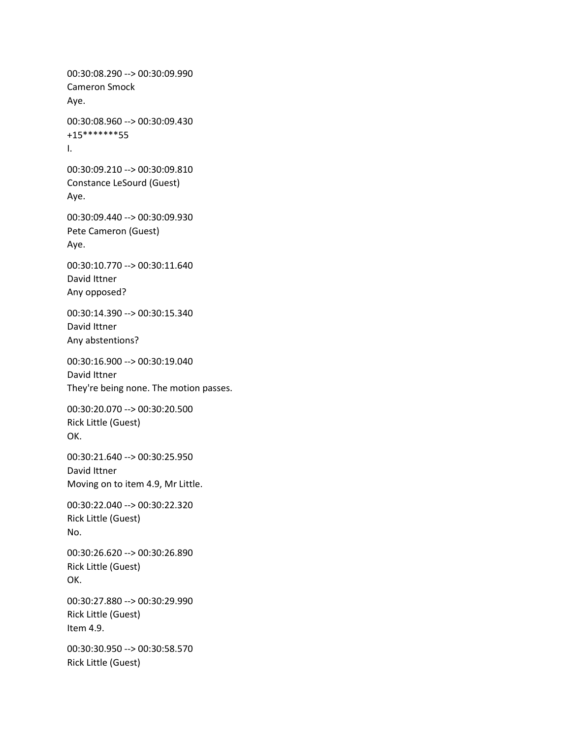00:30:08.290 --> 00:30:09.990 Cameron Smock Aye. 00:30:08.960 --> 00:30:09.430 +15\*\*\*\*\*\*\*55 I. 00:30:09.210 --> 00:30:09.810 Constance LeSourd (Guest) Aye. 00:30:09.440 --> 00:30:09.930 Pete Cameron (Guest) Aye. 00:30:10.770 --> 00:30:11.640 David Ittner Any opposed? 00:30:14.390 --> 00:30:15.340 David Ittner Any abstentions? 00:30:16.900 --> 00:30:19.040 David Ittner They're being none. The motion passes. 00:30:20.070 --> 00:30:20.500 Rick Little (Guest) OK. 00:30:21.640 --> 00:30:25.950 David Ittner Moving on to item 4.9, Mr Little. 00:30:22.040 --> 00:30:22.320 Rick Little (Guest) No. 00:30:26.620 --> 00:30:26.890 Rick Little (Guest) OK. 00:30:27.880 --> 00:30:29.990 Rick Little (Guest) Item 4.9. 00:30:30.950 --> 00:30:58.570 Rick Little (Guest)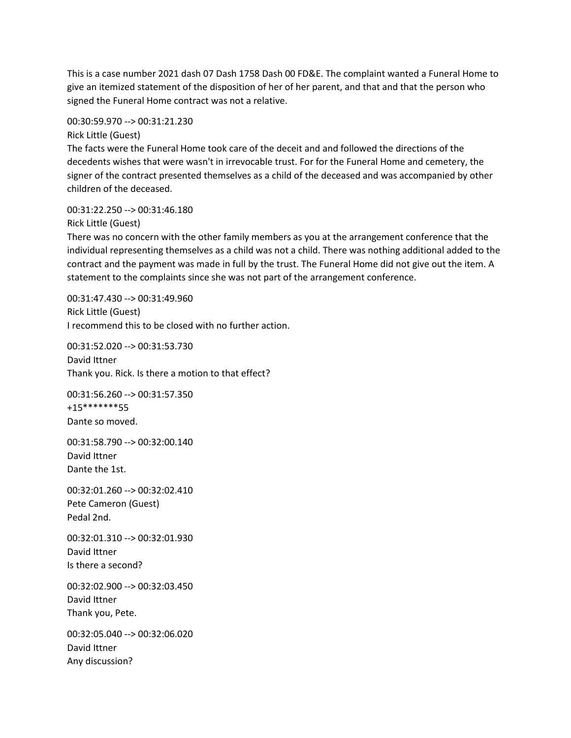This is a case number 2021 dash 07 Dash 1758 Dash 00 FD&E. The complaint wanted a Funeral Home to give an itemized statement of the disposition of her of her parent, and that and that the person who signed the Funeral Home contract was not a relative.

00:30:59.970 --> 00:31:21.230

Rick Little (Guest)

The facts were the Funeral Home took care of the deceit and and followed the directions of the decedents wishes that were wasn't in irrevocable trust. For for the Funeral Home and cemetery, the signer of the contract presented themselves as a child of the deceased and was accompanied by other children of the deceased.

00:31:22.250 --> 00:31:46.180 Rick Little (Guest)

There was no concern with the other family members as you at the arrangement conference that the individual representing themselves as a child was not a child. There was nothing additional added to the contract and the payment was made in full by the trust. The Funeral Home did not give out the item. A statement to the complaints since she was not part of the arrangement conference.

00:31:47.430 --> 00:31:49.960 Rick Little (Guest) I recommend this to be closed with no further action.

00:31:52.020 --> 00:31:53.730 David Ittner Thank you. Rick. Is there a motion to that effect?

00:31:56.260 --> 00:31:57.350 +15\*\*\*\*\*\*\*55 Dante so moved.

00:31:58.790 --> 00:32:00.140 David Ittner Dante the 1st.

00:32:01.260 --> 00:32:02.410 Pete Cameron (Guest) Pedal 2nd.

00:32:01.310 --> 00:32:01.930 David Ittner Is there a second?

00:32:02.900 --> 00:32:03.450 David Ittner Thank you, Pete.

00:32:05.040 --> 00:32:06.020 David Ittner Any discussion?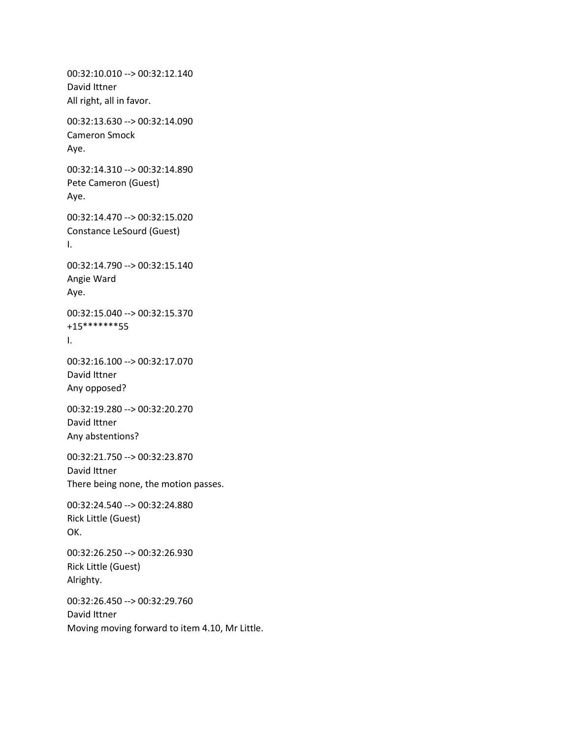00:32:10.010 --> 00:32:12.140 David Ittner All right, all in favor. 00:32:13.630 --> 00:32:14.090 Cameron Smock Aye. 00:32:14.310 --> 00:32:14.890 Pete Cameron (Guest) Aye. 00:32:14.470 --> 00:32:15.020 Constance LeSourd (Guest) I. 00:32:14.790 --> 00:32:15.140 Angie Ward Aye. 00:32:15.040 --> 00:32:15.370 +15\*\*\*\*\*\*\*55 I. 00:32:16.100 --> 00:32:17.070 David Ittner Any opposed? 00:32:19.280 --> 00:32:20.270 David Ittner Any abstentions? 00:32:21.750 --> 00:32:23.870 David Ittner There being none, the motion passes. 00:32:24.540 --> 00:32:24.880 Rick Little (Guest) OK. 00:32:26.250 --> 00:32:26.930 Rick Little (Guest) Alrighty. 00:32:26.450 --> 00:32:29.760 David Ittner Moving moving forward to item 4.10, Mr Little.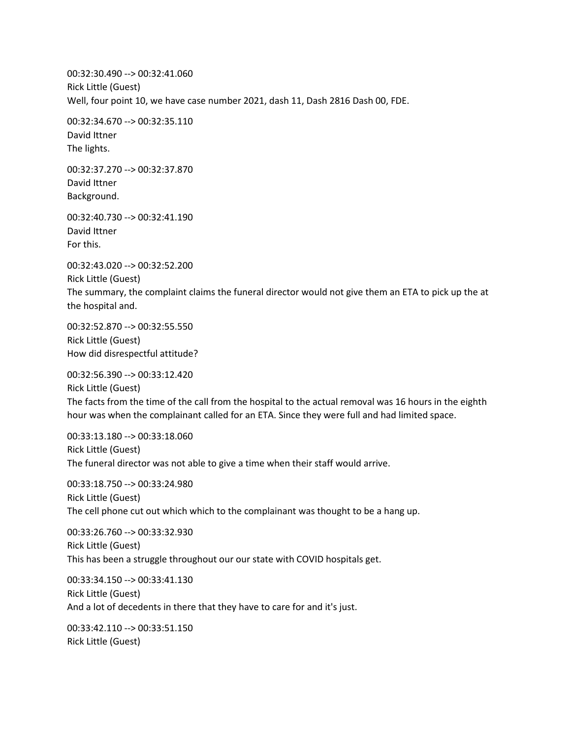00:32:30.490 --> 00:32:41.060 Rick Little (Guest) Well, four point 10, we have case number 2021, dash 11, Dash 2816 Dash 00, FDE.

00:32:34.670 --> 00:32:35.110 David Ittner The lights.

00:32:37.270 --> 00:32:37.870 David Ittner Background.

00:32:40.730 --> 00:32:41.190 David Ittner For this.

00:32:43.020 --> 00:32:52.200 Rick Little (Guest) The summary, the complaint claims the funeral director would not give them an ETA to pick up the at the hospital and.

00:32:52.870 --> 00:32:55.550 Rick Little (Guest) How did disrespectful attitude?

00:32:56.390 --> 00:33:12.420 Rick Little (Guest) The facts from the time of the call from the hospital to the actual removal was 16 hours in the eighth hour was when the complainant called for an ETA. Since they were full and had limited space.

00:33:13.180 --> 00:33:18.060 Rick Little (Guest) The funeral director was not able to give a time when their staff would arrive.

00:33:18.750 --> 00:33:24.980 Rick Little (Guest) The cell phone cut out which which to the complainant was thought to be a hang up.

00:33:26.760 --> 00:33:32.930 Rick Little (Guest) This has been a struggle throughout our our state with COVID hospitals get.

00:33:34.150 --> 00:33:41.130 Rick Little (Guest) And a lot of decedents in there that they have to care for and it's just.

00:33:42.110 --> 00:33:51.150 Rick Little (Guest)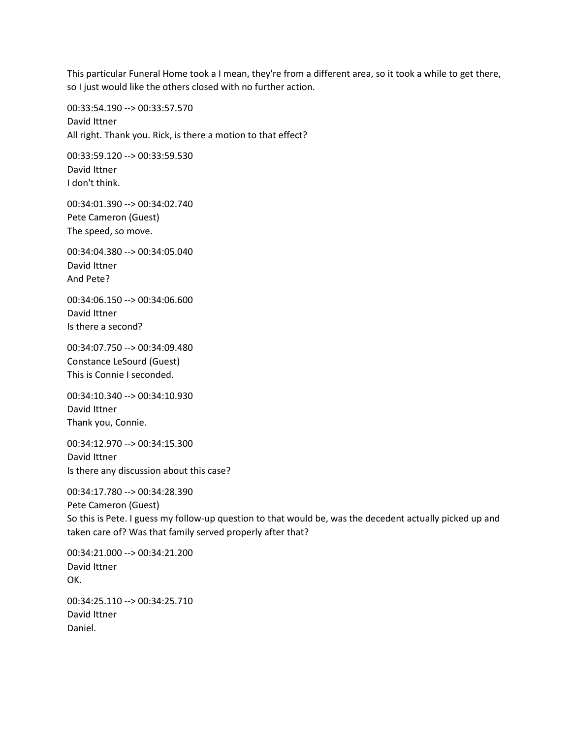This particular Funeral Home took a I mean, they're from a different area, so it took a while to get there, so I just would like the others closed with no further action.

00:33:54.190 --> 00:33:57.570 David Ittner All right. Thank you. Rick, is there a motion to that effect?

00:33:59.120 --> 00:33:59.530 David Ittner I don't think.

00:34:01.390 --> 00:34:02.740 Pete Cameron (Guest) The speed, so move.

00:34:04.380 --> 00:34:05.040 David Ittner And Pete?

00:34:06.150 --> 00:34:06.600 David Ittner Is there a second?

00:34:07.750 --> 00:34:09.480 Constance LeSourd (Guest) This is Connie I seconded.

00:34:10.340 --> 00:34:10.930 David Ittner Thank you, Connie.

00:34:12.970 --> 00:34:15.300 David Ittner Is there any discussion about this case?

00:34:17.780 --> 00:34:28.390 Pete Cameron (Guest) So this is Pete. I guess my follow-up question to that would be, was the decedent actually picked up and taken care of? Was that family served properly after that?

00:34:21.000 --> 00:34:21.200 David Ittner OK.

00:34:25.110 --> 00:34:25.710 David Ittner Daniel.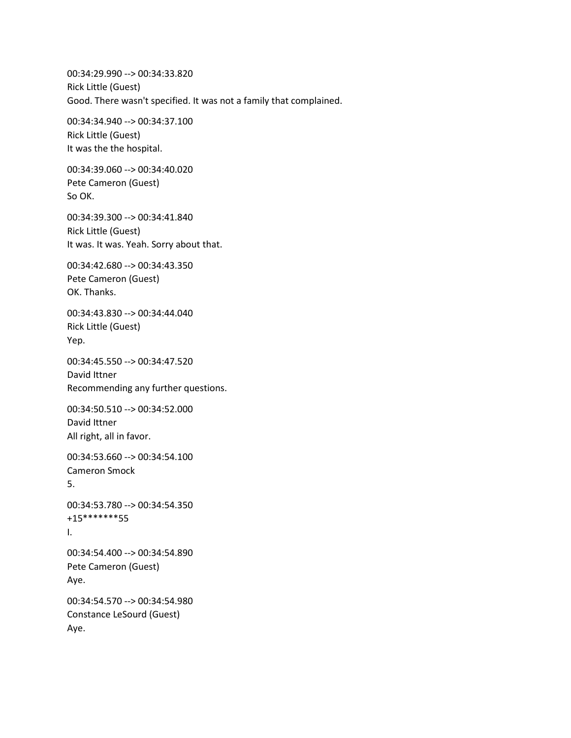00:34:29.990 --> 00:34:33.820 Rick Little (Guest) Good. There wasn't specified. It was not a family that complained.

00:34:34.940 --> 00:34:37.100 Rick Little (Guest) It was the the hospital.

00:34:39.060 --> 00:34:40.020 Pete Cameron (Guest) So OK.

00:34:39.300 --> 00:34:41.840 Rick Little (Guest) It was. It was. Yeah. Sorry about that.

00:34:42.680 --> 00:34:43.350 Pete Cameron (Guest) OK. Thanks.

00:34:43.830 --> 00:34:44.040 Rick Little (Guest) Yep.

00:34:45.550 --> 00:34:47.520 David Ittner Recommending any further questions.

00:34:50.510 --> 00:34:52.000 David Ittner All right, all in favor.

00:34:53.660 --> 00:34:54.100 Cameron Smock 5.

```
00:34:53.780 --> 00:34:54.350
+15*******55
I.
```
00:34:54.400 --> 00:34:54.890 Pete Cameron (Guest) Aye.

00:34:54.570 --> 00:34:54.980 Constance LeSourd (Guest) Aye.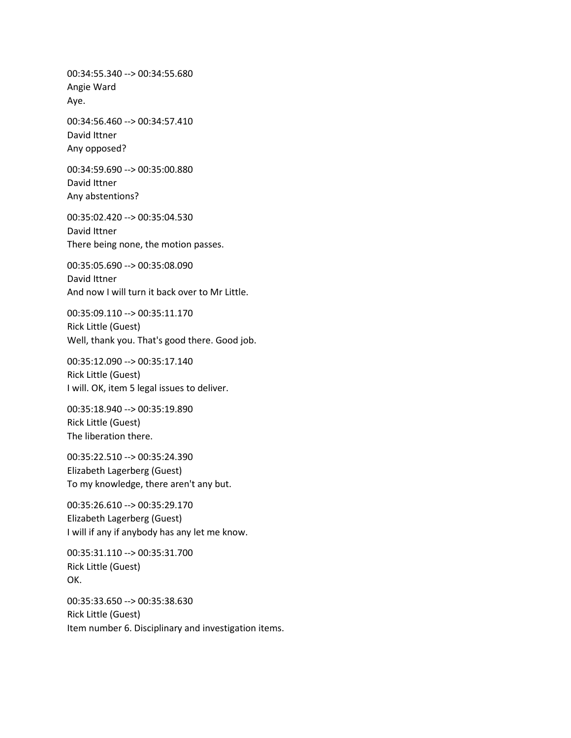00:34:55.340 --> 00:34:55.680 Angie Ward Aye.

00:34:56.460 --> 00:34:57.410 David Ittner Any opposed?

00:34:59.690 --> 00:35:00.880 David Ittner Any abstentions?

00:35:02.420 --> 00:35:04.530 David Ittner There being none, the motion passes.

00:35:05.690 --> 00:35:08.090 David Ittner And now I will turn it back over to Mr Little.

00:35:09.110 --> 00:35:11.170 Rick Little (Guest) Well, thank you. That's good there. Good job.

00:35:12.090 --> 00:35:17.140 Rick Little (Guest) I will. OK, item 5 legal issues to deliver.

00:35:18.940 --> 00:35:19.890 Rick Little (Guest) The liberation there.

00:35:22.510 --> 00:35:24.390 Elizabeth Lagerberg (Guest) To my knowledge, there aren't any but.

00:35:26.610 --> 00:35:29.170 Elizabeth Lagerberg (Guest) I will if any if anybody has any let me know.

00:35:31.110 --> 00:35:31.700 Rick Little (Guest) OK.

00:35:33.650 --> 00:35:38.630 Rick Little (Guest) Item number 6. Disciplinary and investigation items.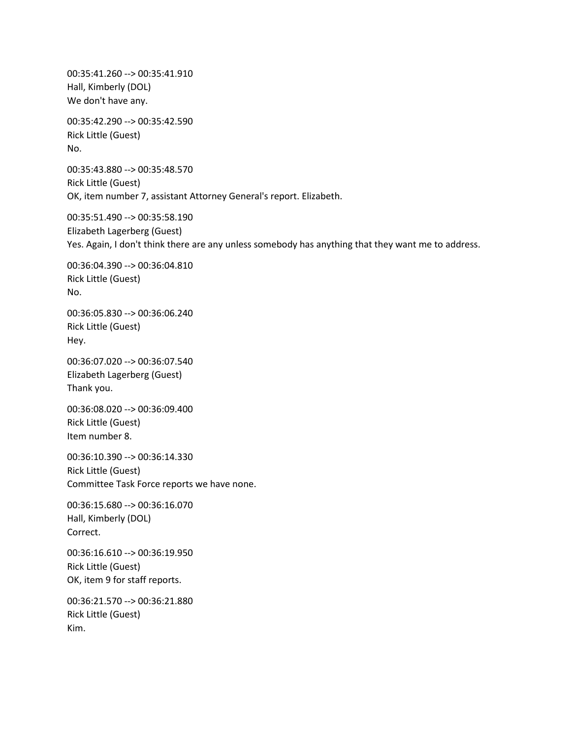00:35:41.260 --> 00:35:41.910 Hall, Kimberly (DOL) We don't have any. 00:35:42.290 --> 00:35:42.590 Rick Little (Guest) No. 00:35:43.880 --> 00:35:48.570 Rick Little (Guest) OK, item number 7, assistant Attorney General's report. Elizabeth. 00:35:51.490 --> 00:35:58.190 Elizabeth Lagerberg (Guest) Yes. Again, I don't think there are any unless somebody has anything that they want me to address. 00:36:04.390 --> 00:36:04.810 Rick Little (Guest) No. 00:36:05.830 --> 00:36:06.240 Rick Little (Guest) Hey. 00:36:07.020 --> 00:36:07.540 Elizabeth Lagerberg (Guest) Thank you. 00:36:08.020 --> 00:36:09.400 Rick Little (Guest) Item number 8. 00:36:10.390 --> 00:36:14.330 Rick Little (Guest) Committee Task Force reports we have none. 00:36:15.680 --> 00:36:16.070 Hall, Kimberly (DOL) Correct. 00:36:16.610 --> 00:36:19.950 Rick Little (Guest) OK, item 9 for staff reports. 00:36:21.570 --> 00:36:21.880 Rick Little (Guest) Kim.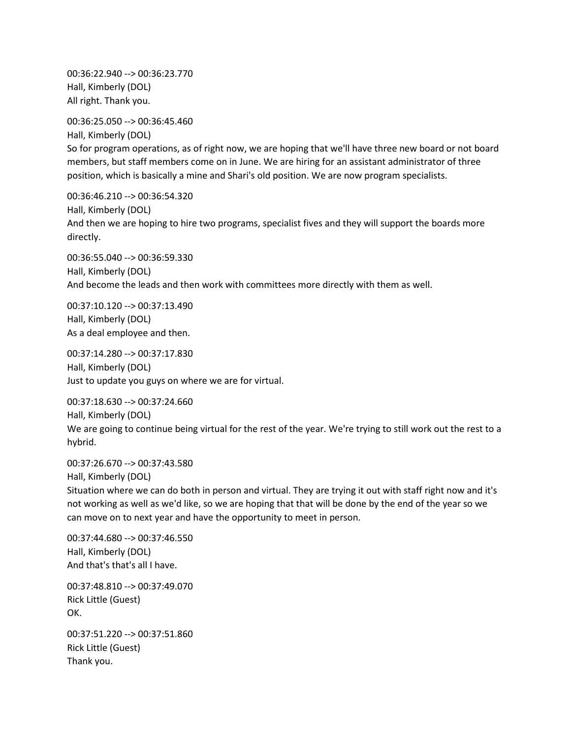00:36:22.940 --> 00:36:23.770 Hall, Kimberly (DOL) All right. Thank you.

00:36:25.050 --> 00:36:45.460

Hall, Kimberly (DOL) So for program operations, as of right now, we are hoping that we'll have three new board or not board members, but staff members come on in June. We are hiring for an assistant administrator of three position, which is basically a mine and Shari's old position. We are now program specialists.

00:36:46.210 --> 00:36:54.320 Hall, Kimberly (DOL) And then we are hoping to hire two programs, specialist fives and they will support the boards more directly.

00:36:55.040 --> 00:36:59.330 Hall, Kimberly (DOL) And become the leads and then work with committees more directly with them as well.

00:37:10.120 --> 00:37:13.490 Hall, Kimberly (DOL) As a deal employee and then.

00:37:14.280 --> 00:37:17.830 Hall, Kimberly (DOL) Just to update you guys on where we are for virtual.

00:37:18.630 --> 00:37:24.660 Hall, Kimberly (DOL) We are going to continue being virtual for the rest of the year. We're trying to still work out the rest to a hybrid.

00:37:26.670 --> 00:37:43.580 Hall, Kimberly (DOL) Situation where we can do both in person and virtual. They are trying it out with staff right now and it's not working as well as we'd like, so we are hoping that that will be done by the end of the year so we can move on to next year and have the opportunity to meet in person.

00:37:44.680 --> 00:37:46.550 Hall, Kimberly (DOL) And that's that's all I have.

00:37:48.810 --> 00:37:49.070 Rick Little (Guest) OK.

00:37:51.220 --> 00:37:51.860 Rick Little (Guest) Thank you.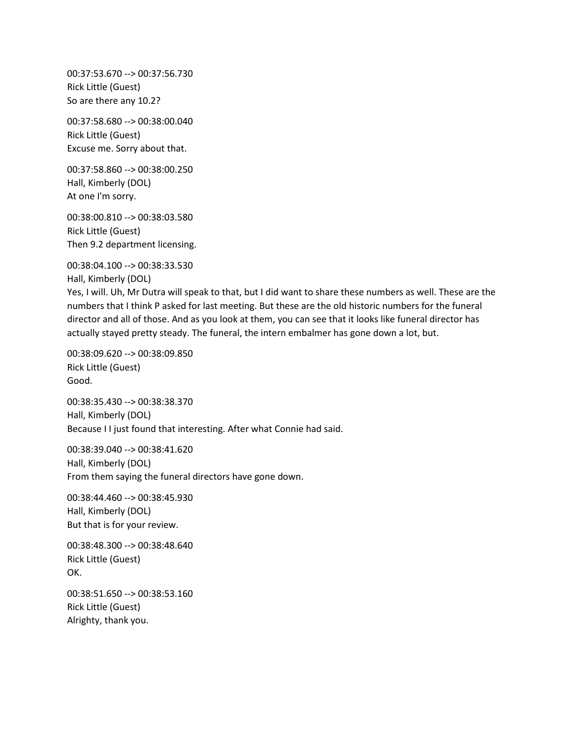00:37:53.670 --> 00:37:56.730 Rick Little (Guest) So are there any 10.2?

00:37:58.680 --> 00:38:00.040 Rick Little (Guest) Excuse me. Sorry about that.

00:37:58.860 --> 00:38:00.250 Hall, Kimberly (DOL) At one I'm sorry.

00:38:00.810 --> 00:38:03.580 Rick Little (Guest) Then 9.2 department licensing.

00:38:04.100 --> 00:38:33.530

Hall, Kimberly (DOL)

Yes, I will. Uh, Mr Dutra will speak to that, but I did want to share these numbers as well. These are the numbers that I think P asked for last meeting. But these are the old historic numbers for the funeral director and all of those. And as you look at them, you can see that it looks like funeral director has actually stayed pretty steady. The funeral, the intern embalmer has gone down a lot, but.

00:38:09.620 --> 00:38:09.850 Rick Little (Guest) Good.

00:38:35.430 --> 00:38:38.370 Hall, Kimberly (DOL) Because I I just found that interesting. After what Connie had said.

00:38:39.040 --> 00:38:41.620 Hall, Kimberly (DOL) From them saying the funeral directors have gone down.

00:38:44.460 --> 00:38:45.930 Hall, Kimberly (DOL) But that is for your review.

00:38:48.300 --> 00:38:48.640 Rick Little (Guest) OK.

00:38:51.650 --> 00:38:53.160 Rick Little (Guest) Alrighty, thank you.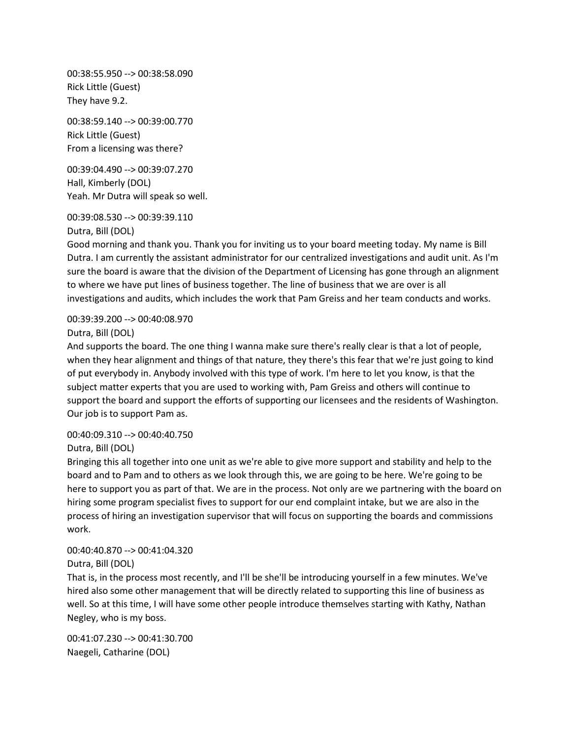00:38:55.950 --> 00:38:58.090 Rick Little (Guest) They have 9.2.

00:38:59.140 --> 00:39:00.770 Rick Little (Guest) From a licensing was there?

00:39:04.490 --> 00:39:07.270 Hall, Kimberly (DOL) Yeah. Mr Dutra will speak so well.

00:39:08.530 --> 00:39:39.110

Dutra, Bill (DOL)

Good morning and thank you. Thank you for inviting us to your board meeting today. My name is Bill Dutra. I am currently the assistant administrator for our centralized investigations and audit unit. As I'm sure the board is aware that the division of the Department of Licensing has gone through an alignment to where we have put lines of business together. The line of business that we are over is all investigations and audits, which includes the work that Pam Greiss and her team conducts and works.

00:39:39.200 --> 00:40:08.970 Dutra, Bill (DOL)

And supports the board. The one thing I wanna make sure there's really clear is that a lot of people, when they hear alignment and things of that nature, they there's this fear that we're just going to kind of put everybody in. Anybody involved with this type of work. I'm here to let you know, is that the subject matter experts that you are used to working with, Pam Greiss and others will continue to support the board and support the efforts of supporting our licensees and the residents of Washington. Our job is to support Pam as.

#### 00:40:09.310 --> 00:40:40.750

Dutra, Bill (DOL)

Bringing this all together into one unit as we're able to give more support and stability and help to the board and to Pam and to others as we look through this, we are going to be here. We're going to be here to support you as part of that. We are in the process. Not only are we partnering with the board on hiring some program specialist fives to support for our end complaint intake, but we are also in the process of hiring an investigation supervisor that will focus on supporting the boards and commissions work.

#### 00:40:40.870 --> 00:41:04.320 Dutra, Bill (DOL)

That is, in the process most recently, and I'll be she'll be introducing yourself in a few minutes. We've hired also some other management that will be directly related to supporting this line of business as well. So at this time, I will have some other people introduce themselves starting with Kathy, Nathan Negley, who is my boss.

00:41:07.230 --> 00:41:30.700 Naegeli, Catharine (DOL)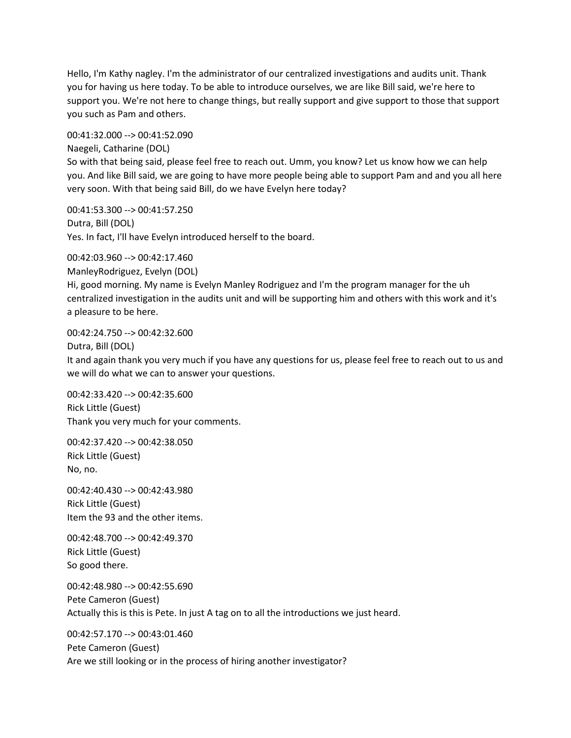Hello, I'm Kathy nagley. I'm the administrator of our centralized investigations and audits unit. Thank you for having us here today. To be able to introduce ourselves, we are like Bill said, we're here to support you. We're not here to change things, but really support and give support to those that support you such as Pam and others.

00:41:32.000 --> 00:41:52.090

Naegeli, Catharine (DOL) So with that being said, please feel free to reach out. Umm, you know? Let us know how we can help you. And like Bill said, we are going to have more people being able to support Pam and and you all here very soon. With that being said Bill, do we have Evelyn here today?

00:41:53.300 --> 00:41:57.250 Dutra, Bill (DOL) Yes. In fact, I'll have Evelyn introduced herself to the board.

00:42:03.960 --> 00:42:17.460 ManleyRodriguez, Evelyn (DOL) Hi, good morning. My name is Evelyn Manley Rodriguez and I'm the program manager for the uh centralized investigation in the audits unit and will be supporting him and others with this work and it's a pleasure to be here.

00:42:24.750 --> 00:42:32.600 Dutra, Bill (DOL)

It and again thank you very much if you have any questions for us, please feel free to reach out to us and we will do what we can to answer your questions.

00:42:33.420 --> 00:42:35.600 Rick Little (Guest) Thank you very much for your comments.

00:42:37.420 --> 00:42:38.050 Rick Little (Guest) No, no.

00:42:40.430 --> 00:42:43.980 Rick Little (Guest) Item the 93 and the other items.

00:42:48.700 --> 00:42:49.370 Rick Little (Guest) So good there.

00:42:48.980 --> 00:42:55.690 Pete Cameron (Guest) Actually this is this is Pete. In just A tag on to all the introductions we just heard.

00:42:57.170 --> 00:43:01.460 Pete Cameron (Guest) Are we still looking or in the process of hiring another investigator?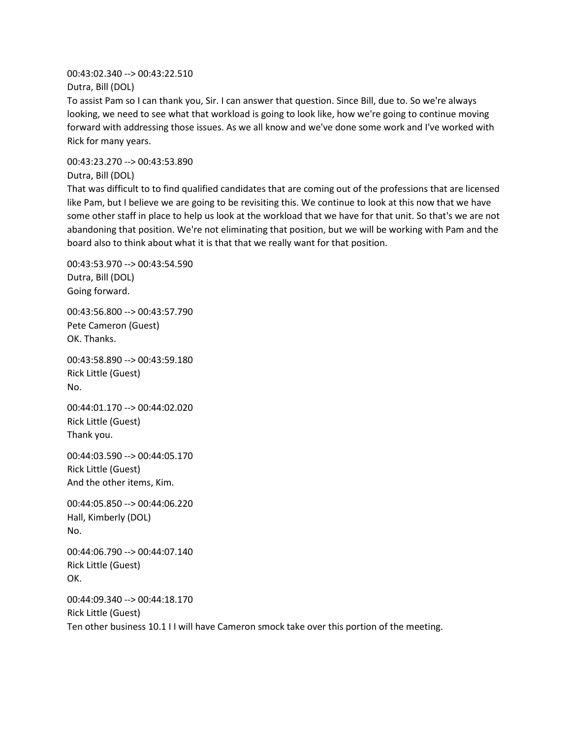00:43:02.340 --> 00:43:22.510 Dutra, Bill (DOL)

To assist Pam so I can thank you, Sir. I can answer that question. Since Bill, due to. So we're always looking, we need to see what that workload is going to look like, how we're going to continue moving forward with addressing those issues. As we all know and we've done some work and I've worked with Rick for many years.

00:43:23.270 --> 00:43:53.890

Dutra, Bill (DOL)

That was difficult to to find qualified candidates that are coming out of the professions that are licensed like Pam, but I believe we are going to be revisiting this. We continue to look at this now that we have some other staff in place to help us look at the workload that we have for that unit. So that's we are not abandoning that position. We're not eliminating that position, but we will be working with Pam and the board also to think about what it is that that we really want for that position.

00:43:53.970 --> 00:43:54.590 Dutra, Bill (DOL) Going forward.

00:43:56.800 --> 00:43:57.790 Pete Cameron (Guest) OK. Thanks.

00:43:58.890 --> 00:43:59.180 Rick Little (Guest) No.

00:44:01.170 --> 00:44:02.020 Rick Little (Guest) Thank you.

00:44:03.590 --> 00:44:05.170 Rick Little (Guest) And the other items, Kim.

00:44:05.850 --> 00:44:06.220 Hall, Kimberly (DOL) No.

00:44:06.790 --> 00:44:07.140 Rick Little (Guest) OK.

00:44:09.340 --> 00:44:18.170 Rick Little (Guest) Ten other business 10.1 I I will have Cameron smock take over this portion of the meeting.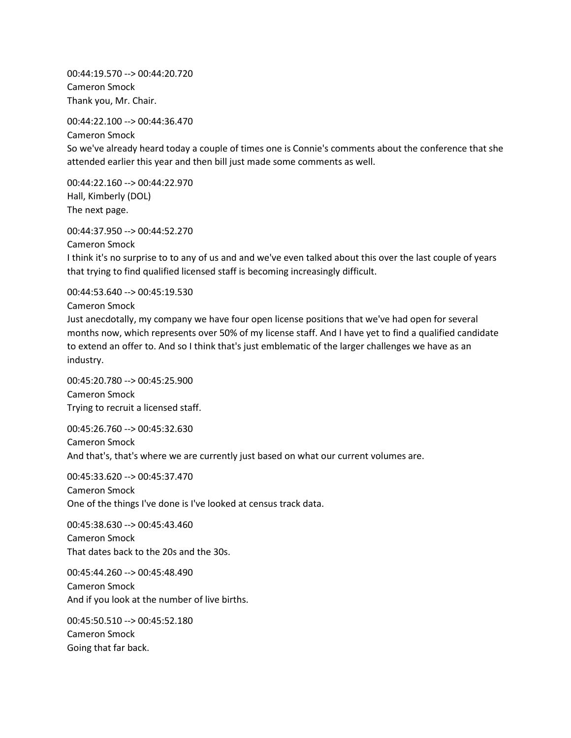00:44:19.570 --> 00:44:20.720 Cameron Smock Thank you, Mr. Chair.

00:44:22.100 --> 00:44:36.470

Cameron Smock So we've already heard today a couple of times one is Connie's comments about the conference that she attended earlier this year and then bill just made some comments as well.

00:44:22.160 --> 00:44:22.970 Hall, Kimberly (DOL) The next page.

00:44:37.950 --> 00:44:52.270

Cameron Smock

I think it's no surprise to to any of us and and we've even talked about this over the last couple of years that trying to find qualified licensed staff is becoming increasingly difficult.

00:44:53.640 --> 00:45:19.530

Cameron Smock

Just anecdotally, my company we have four open license positions that we've had open for several months now, which represents over 50% of my license staff. And I have yet to find a qualified candidate to extend an offer to. And so I think that's just emblematic of the larger challenges we have as an industry.

00:45:20.780 --> 00:45:25.900 Cameron Smock Trying to recruit a licensed staff.

00:45:26.760 --> 00:45:32.630 Cameron Smock And that's, that's where we are currently just based on what our current volumes are.

00:45:33.620 --> 00:45:37.470 Cameron Smock One of the things I've done is I've looked at census track data.

00:45:38.630 --> 00:45:43.460 Cameron Smock That dates back to the 20s and the 30s.

00:45:44.260 --> 00:45:48.490 Cameron Smock And if you look at the number of live births.

00:45:50.510 --> 00:45:52.180 Cameron Smock Going that far back.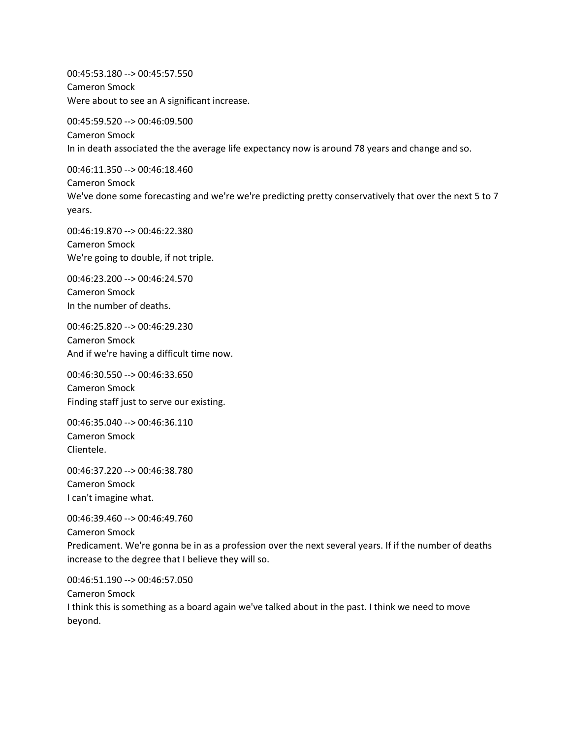00:45:53.180 --> 00:45:57.550 Cameron Smock Were about to see an A significant increase.

00:45:59.520 --> 00:46:09.500 Cameron Smock In in death associated the the average life expectancy now is around 78 years and change and so.

00:46:11.350 --> 00:46:18.460 Cameron Smock We've done some forecasting and we're we're predicting pretty conservatively that over the next 5 to 7 years.

00:46:19.870 --> 00:46:22.380 Cameron Smock We're going to double, if not triple.

00:46:23.200 --> 00:46:24.570 Cameron Smock In the number of deaths.

00:46:25.820 --> 00:46:29.230 Cameron Smock And if we're having a difficult time now.

00:46:30.550 --> 00:46:33.650 Cameron Smock Finding staff just to serve our existing.

00:46:35.040 --> 00:46:36.110 Cameron Smock Clientele.

00:46:37.220 --> 00:46:38.780 Cameron Smock I can't imagine what.

00:46:39.460 --> 00:46:49.760 Cameron Smock Predicament. We're gonna be in as a profession over the next several years. If if the number of deaths increase to the degree that I believe they will so.

00:46:51.190 --> 00:46:57.050 Cameron Smock I think this is something as a board again we've talked about in the past. I think we need to move beyond.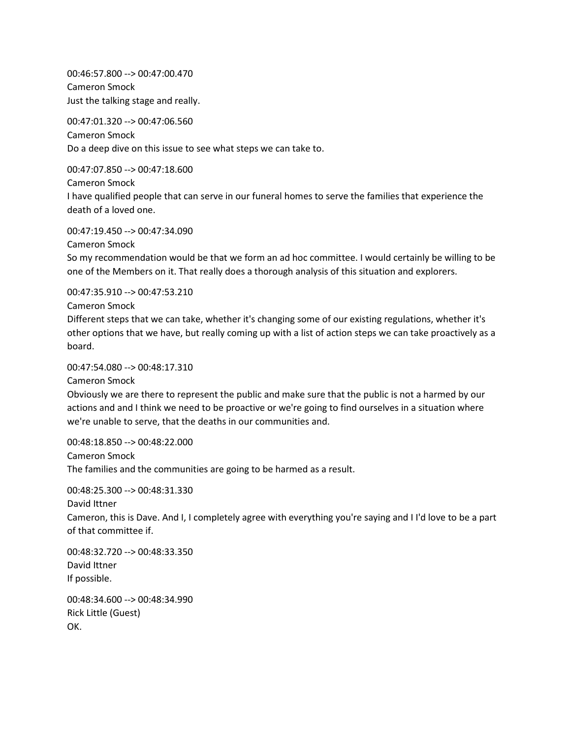00:46:57.800 --> 00:47:00.470 Cameron Smock Just the talking stage and really.

00:47:01.320 --> 00:47:06.560 Cameron Smock Do a deep dive on this issue to see what steps we can take to.

00:47:07.850 --> 00:47:18.600

Cameron Smock

I have qualified people that can serve in our funeral homes to serve the families that experience the death of a loved one.

00:47:19.450 --> 00:47:34.090

Cameron Smock

So my recommendation would be that we form an ad hoc committee. I would certainly be willing to be one of the Members on it. That really does a thorough analysis of this situation and explorers.

00:47:35.910 --> 00:47:53.210

Cameron Smock

Different steps that we can take, whether it's changing some of our existing regulations, whether it's other options that we have, but really coming up with a list of action steps we can take proactively as a board.

00:47:54.080 --> 00:48:17.310

Cameron Smock

Obviously we are there to represent the public and make sure that the public is not a harmed by our actions and and I think we need to be proactive or we're going to find ourselves in a situation where we're unable to serve, that the deaths in our communities and.

00:48:18.850 --> 00:48:22.000 Cameron Smock The families and the communities are going to be harmed as a result.

00:48:25.300 --> 00:48:31.330

David Ittner

Cameron, this is Dave. And I, I completely agree with everything you're saying and I I'd love to be a part of that committee if.

00:48:32.720 --> 00:48:33.350 David Ittner If possible.

00:48:34.600 --> 00:48:34.990 Rick Little (Guest) OK.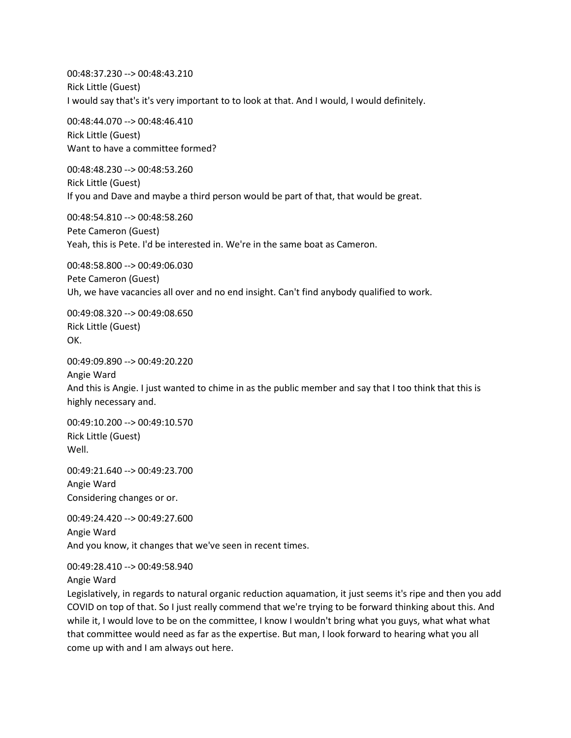00:48:37.230 --> 00:48:43.210 Rick Little (Guest) I would say that's it's very important to to look at that. And I would, I would definitely.

00:48:44.070 --> 00:48:46.410 Rick Little (Guest) Want to have a committee formed?

00:48:48.230 --> 00:48:53.260 Rick Little (Guest) If you and Dave and maybe a third person would be part of that, that would be great.

00:48:54.810 --> 00:48:58.260 Pete Cameron (Guest) Yeah, this is Pete. I'd be interested in. We're in the same boat as Cameron.

00:48:58.800 --> 00:49:06.030 Pete Cameron (Guest) Uh, we have vacancies all over and no end insight. Can't find anybody qualified to work.

00:49:08.320 --> 00:49:08.650 Rick Little (Guest) OK.

00:49:09.890 --> 00:49:20.220 Angie Ward And this is Angie. I just wanted to chime in as the public member and say that I too think that this is highly necessary and.

00:49:10.200 --> 00:49:10.570 Rick Little (Guest) Well.

00:49:21.640 --> 00:49:23.700 Angie Ward Considering changes or or.

00:49:24.420 --> 00:49:27.600 Angie Ward And you know, it changes that we've seen in recent times.

00:49:28.410 --> 00:49:58.940

Angie Ward

Legislatively, in regards to natural organic reduction aquamation, it just seems it's ripe and then you add COVID on top of that. So I just really commend that we're trying to be forward thinking about this. And while it, I would love to be on the committee, I know I wouldn't bring what you guys, what what what that committee would need as far as the expertise. But man, I look forward to hearing what you all come up with and I am always out here.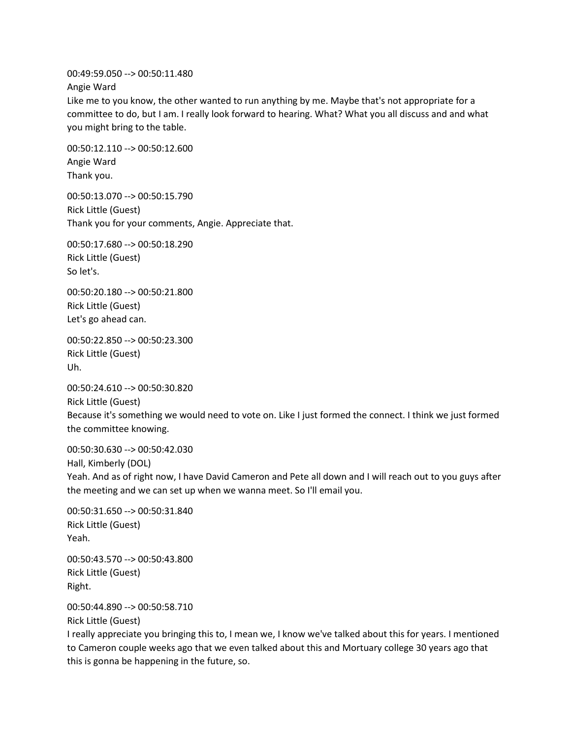00:49:59.050 --> 00:50:11.480

Angie Ward

Like me to you know, the other wanted to run anything by me. Maybe that's not appropriate for a committee to do, but I am. I really look forward to hearing. What? What you all discuss and and what you might bring to the table.

00:50:12.110 --> 00:50:12.600 Angie Ward Thank you.

00:50:13.070 --> 00:50:15.790 Rick Little (Guest) Thank you for your comments, Angie. Appreciate that.

00:50:17.680 --> 00:50:18.290 Rick Little (Guest) So let's.

00:50:20.180 --> 00:50:21.800 Rick Little (Guest) Let's go ahead can.

00:50:22.850 --> 00:50:23.300 Rick Little (Guest) Uh.

00:50:24.610 --> 00:50:30.820 Rick Little (Guest) Because it's something we would need to vote on. Like I just formed the connect. I think we just formed the committee knowing.

00:50:30.630 --> 00:50:42.030 Hall, Kimberly (DOL) Yeah. And as of right now, I have David Cameron and Pete all down and I will reach out to you guys after the meeting and we can set up when we wanna meet. So I'll email you.

00:50:31.650 --> 00:50:31.840 Rick Little (Guest) Yeah.

00:50:43.570 --> 00:50:43.800 Rick Little (Guest) Right.

00:50:44.890 --> 00:50:58.710 Rick Little (Guest)

I really appreciate you bringing this to, I mean we, I know we've talked about this for years. I mentioned to Cameron couple weeks ago that we even talked about this and Mortuary college 30 years ago that this is gonna be happening in the future, so.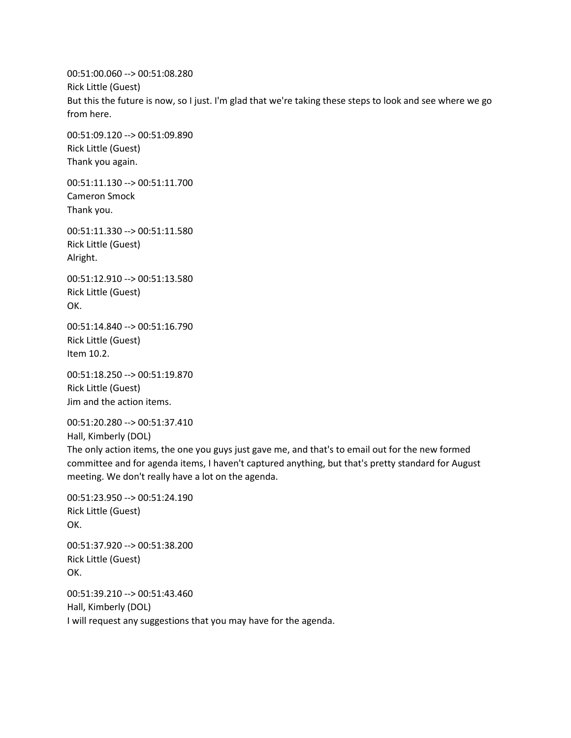00:51:00.060 --> 00:51:08.280 Rick Little (Guest) But this the future is now, so I just. I'm glad that we're taking these steps to look and see where we go from here.

00:51:09.120 --> 00:51:09.890 Rick Little (Guest) Thank you again.

00:51:11.130 --> 00:51:11.700 Cameron Smock Thank you.

00:51:11.330 --> 00:51:11.580 Rick Little (Guest) Alright.

00:51:12.910 --> 00:51:13.580 Rick Little (Guest) OK.

00:51:14.840 --> 00:51:16.790 Rick Little (Guest) Item 10.2.

00:51:18.250 --> 00:51:19.870 Rick Little (Guest) Jim and the action items.

00:51:20.280 --> 00:51:37.410

Hall, Kimberly (DOL)

The only action items, the one you guys just gave me, and that's to email out for the new formed committee and for agenda items, I haven't captured anything, but that's pretty standard for August meeting. We don't really have a lot on the agenda.

```
00:51:23.950 --> 00:51:24.190
Rick Little (Guest)
OK.
00:51:37.920 --> 00:51:38.200
Rick Little (Guest)
OK.
```
00:51:39.210 --> 00:51:43.460 Hall, Kimberly (DOL) I will request any suggestions that you may have for the agenda.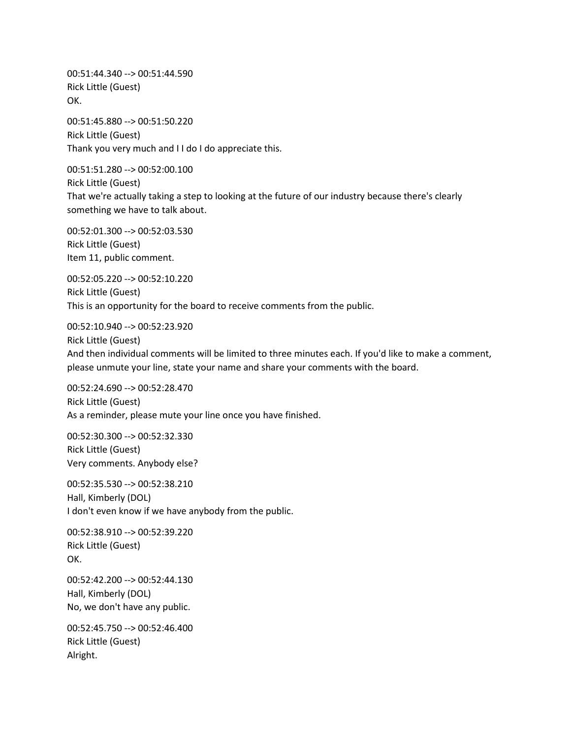00:51:44.340 --> 00:51:44.590 Rick Little (Guest) OK.

00:51:45.880 --> 00:51:50.220 Rick Little (Guest) Thank you very much and I I do I do appreciate this.

00:51:51.280 --> 00:52:00.100 Rick Little (Guest) That we're actually taking a step to looking at the future of our industry because there's clearly something we have to talk about.

00:52:01.300 --> 00:52:03.530 Rick Little (Guest) Item 11, public comment.

00:52:05.220 --> 00:52:10.220 Rick Little (Guest) This is an opportunity for the board to receive comments from the public.

00:52:10.940 --> 00:52:23.920 Rick Little (Guest) And then individual comments will be limited to three minutes each. If you'd like to make a comment, please unmute your line, state your name and share your comments with the board.

00:52:24.690 --> 00:52:28.470 Rick Little (Guest) As a reminder, please mute your line once you have finished.

00:52:30.300 --> 00:52:32.330 Rick Little (Guest) Very comments. Anybody else?

00:52:35.530 --> 00:52:38.210 Hall, Kimberly (DOL) I don't even know if we have anybody from the public.

00:52:38.910 --> 00:52:39.220 Rick Little (Guest) OK.

00:52:42.200 --> 00:52:44.130 Hall, Kimberly (DOL) No, we don't have any public.

00:52:45.750 --> 00:52:46.400 Rick Little (Guest) Alright.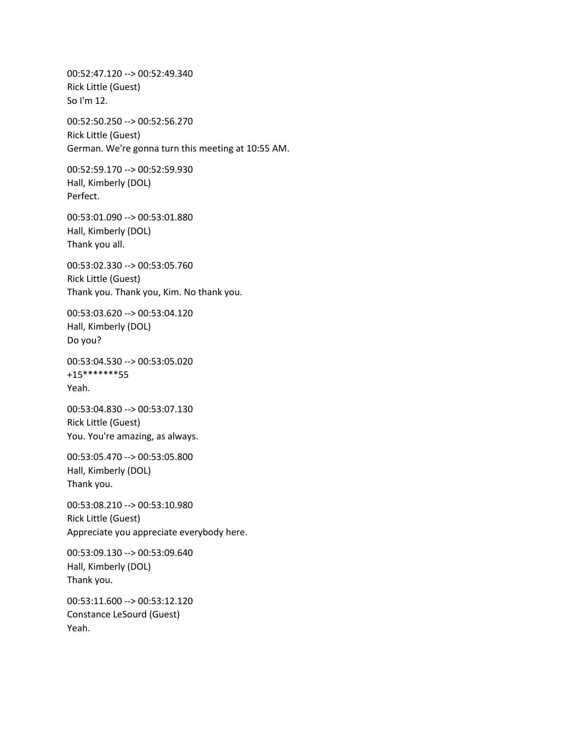00:52:47.120 --> 00:52:49.340 Rick Little (Guest) So I'm 12. 00:52:50.250 --> 00:52:56.270 Rick Little (Guest) German. We're gonna turn this meeting at 10:55 AM. 00:52:59.170 --> 00:52:59.930 Hall, Kimberly (DOL) Perfect. 00:53:01.090 --> 00:53:01.880 Hall, Kimberly (DOL) Thank you all. 00:53:02.330 --> 00:53:05.760 Rick Little (Guest) Thank you. Thank you, Kim. No thank you. 00:53:03.620 --> 00:53:04.120 Hall, Kimberly (DOL) Do you? 00:53:04.530 --> 00:53:05.020 +15\*\*\*\*\*\*\*55 Yeah. 00:53:04.830 --> 00:53:07.130 Rick Little (Guest) You. You're amazing, as always. 00:53:05.470 --> 00:53:05.800 Hall, Kimberly (DOL) Thank you. 00:53:08.210 --> 00:53:10.980 Rick Little (Guest) Appreciate you appreciate everybody here. 00:53:09.130 --> 00:53:09.640 Hall, Kimberly (DOL) Thank you. 00:53:11.600 --> 00:53:12.120 Constance LeSourd (Guest) Yeah.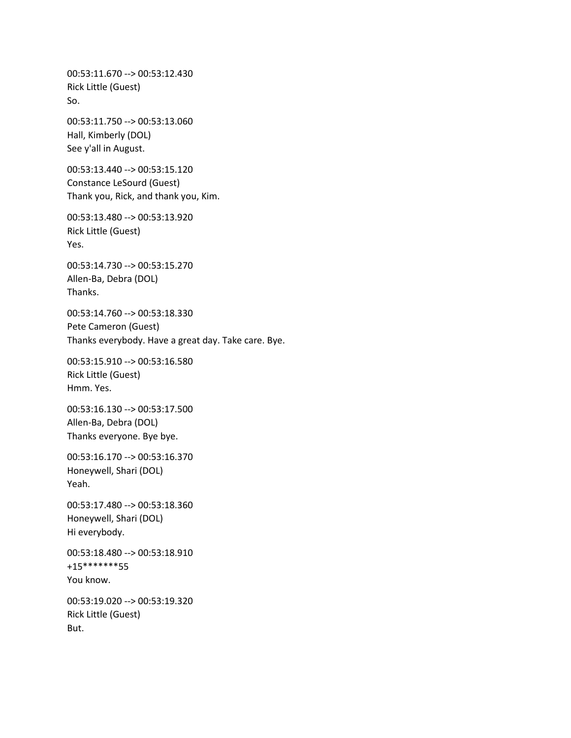00:53:11.670 --> 00:53:12.430 Rick Little (Guest) So. 00:53:11.750 --> 00:53:13.060 Hall, Kimberly (DOL) See y'all in August. 00:53:13.440 --> 00:53:15.120 Constance LeSourd (Guest) Thank you, Rick, and thank you, Kim. 00:53:13.480 --> 00:53:13.920 Rick Little (Guest) Yes. 00:53:14.730 --> 00:53:15.270 Allen-Ba, Debra (DOL) Thanks. 00:53:14.760 --> 00:53:18.330 Pete Cameron (Guest) Thanks everybody. Have a great day. Take care. Bye. 00:53:15.910 --> 00:53:16.580 Rick Little (Guest) Hmm. Yes. 00:53:16.130 --> 00:53:17.500 Allen-Ba, Debra (DOL) Thanks everyone. Bye bye. 00:53:16.170 --> 00:53:16.370 Honeywell, Shari (DOL) Yeah. 00:53:17.480 --> 00:53:18.360 Honeywell, Shari (DOL) Hi everybody. 00:53:18.480 --> 00:53:18.910 +15\*\*\*\*\*\*\*55 You know. 00:53:19.020 --> 00:53:19.320 Rick Little (Guest) But.